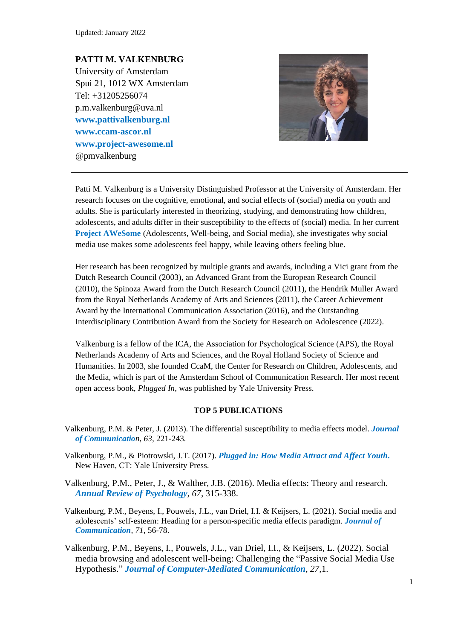Updated: January 2022

### **PATTI M. VALKENBURG** University of Amsterdam

Spui 21, 1012 WX Amsterdam Tel: +31205256074 p.m.valkenburg@uva.nl **[www.pattivalkenburg.nl](http://www.pattivalkenburg.nl/) [www.ccam-ascor.nl](http://www.ccam-ascor.nl/) [www.project-awesome.nl](https://www.project-awesome.nl/for-researchers)** @pmvalkenburg



Patti M. Valkenburg is a University Distinguished Professor at the University of Amsterdam. Her research focuses on the cognitive, emotional, and social effects of (social) media on youth and adults. She is particularly interested in theorizing, studying, and demonstrating how children, adolescents, and adults differ in their susceptibility to the effects of (social) media. In her current **[Project AWeSome](https://www.project-awesome.nl/for-researchers)** (Adolescents, Well-being, and Social media), she investigates why social media use makes some adolescents feel happy, while leaving others feeling blue.

Her research has been recognized by multiple grants and awards, including a Vici grant from the Dutch Research Council (2003), an Advanced Grant from the European Research Council (2010), the Spinoza Award from the Dutch Research Council (2011), the Hendrik Muller Award from the Royal Netherlands Academy of Arts and Sciences (2011), the Career Achievement Award by the International Communication Association (2016), and the Outstanding Interdisciplinary Contribution Award from the Society for Research on Adolescence (2022).

Valkenburg is a fellow of the ICA, the Association for Psychological Science (APS), the Royal Netherlands Academy of Arts and Sciences, and the Royal Holland Society of Science and Humanities. In 2003, she founded CcaM, the Center for Research on Children, Adolescents, and the Media, which is part of the Amsterdam School of Communication Research. Her most recent open access book, *Plugged In*, was published by Yale University Press.

#### **TOP 5 PUBLICATIONS**

- Valkenburg, P.M. & Peter, J. (2013). The differential susceptibility to media effects model. *[Journal](https://www.pattivalkenburg.nl/images/artikelen_pdf/2013_Valkenburg__Peter_Differential_Susceptibility_Meda_Effects.pdf) [of Communicatio](https://www.pattivalkenburg.nl/images/artikelen_pdf/2013_Valkenburg__Peter_Differential_Susceptibility_Meda_Effects.pdf)n, 63,* 221-243*.*
- Valkenburg, P.M., & Piotrowski, J.T. (2017). *[Plugged in: How Media Attract and Affect Youth](https://yalebooks.yale.edu/sites/default/files/files/Media/9780300228090_UPDF.pdf)***.** New Haven, CT: Yale University Press.
- Valkenburg, P.M., Peter, J., & Walther, J.B. (2016). Media effects: Theory and research. *Annual [Review of Psychology](https://www.dhi.ac.uk/san/waysofbeing/data/communication-zangana-valkenburg-2016.pdf), 67,* 315-338.
- Valkenburg, P.M., Beyens, I., Pouwels, J.L., van Driel, I.I. & Keijsers, L. (2021). Social media and adolescents' self-esteem: Heading for a person-specific media effects paradigm. *[Journal of](https://academic.oup.com/joc/article/71/1/56/6124731?searchresult=1)  [Communication](https://academic.oup.com/joc/article/71/1/56/6124731?searchresult=1), 71*, 56-78.
- Valkenburg, P.M., Beyens, I., Pouwels, J.L., van Driel, I.I., & Keijsers, L. (2022). Social media browsing and adolescent well-being: Challenging the "Passive Social Media Use Hypothesis." *Journal [of Computer-Mediated Communication](https://academic.oup.com/jcmc/article/27/1/zmab015/6413702?login=true), 27,*1.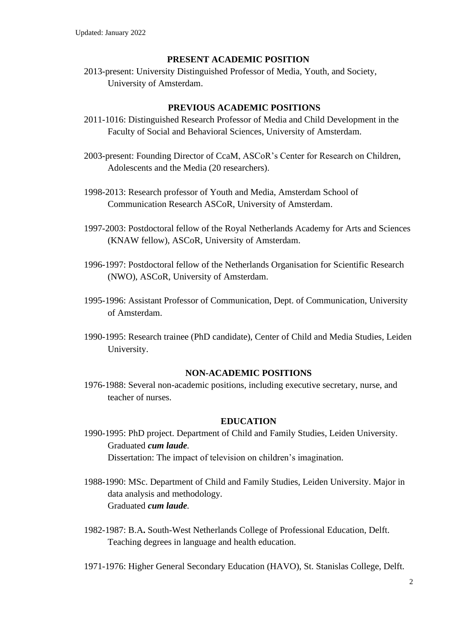### **PRESENT ACADEMIC POSITION**

2013-present: University Distinguished Professor of Media, Youth, and Society, University of Amsterdam.

## **PREVIOUS ACADEMIC POSITIONS**

- 2011-1016: Distinguished Research Professor of Media and Child Development in the Faculty of Social and Behavioral Sciences, University of Amsterdam.
- 2003-present: Founding Director of CcaM, ASCoR's Center for Research on Children, Adolescents and the Media (20 researchers).
- 1998-2013: Research professor of Youth and Media, Amsterdam School of Communication Research ASCoR, University of Amsterdam.
- 1997-2003: Postdoctoral fellow of the Royal Netherlands Academy for Arts and Sciences (KNAW fellow), ASCoR, University of Amsterdam.
- 1996-1997: Postdoctoral fellow of the Netherlands Organisation for Scientific Research (NWO), ASCoR, University of Amsterdam.
- 1995-1996: Assistant Professor of Communication, Dept. of Communication, University of Amsterdam.
- 1990-1995: Research trainee (PhD candidate), Center of Child and Media Studies, Leiden University.

## **NON-ACADEMIC POSITIONS**

1976-1988: Several non-academic positions, including executive secretary, nurse, and teacher of nurses.

#### **EDUCATION**

- 1990-1995: PhD project. Department of Child and Family Studies, Leiden University. Graduated *cum laude.*  Dissertation: The impact of television on children's imagination.
- 1988-1990: MSc. Department of Child and Family Studies, Leiden University. Major in data analysis and methodology*.* Graduated *cum laude.*
- 1982*-*1987: B.A**.** South-West Netherlands College of Professional Education, Delft. Teaching degrees in language and health education.
- 1971-1976: Higher General Secondary Education (HAVO), St. Stanislas College, Delft.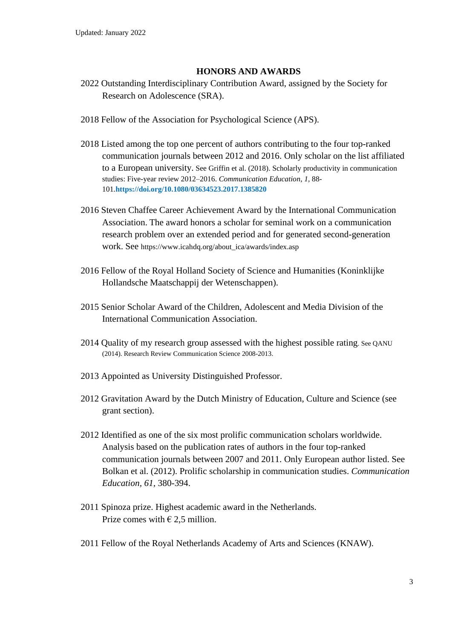## **HONORS AND AWARDS**

- 2022 Outstanding Interdisciplinary Contribution Award, assigned by the Society for Research on Adolescence (SRA).
- 2018 Fellow of the Association for Psychological Science (APS).
- 2018 Listed among the top one percent of authors contributing to the four top-ranked communication journals between 2012 and 2016. Only scholar on the list affiliated to a European university. See Griffin et al. (2018). Scholarly productivity in communication studies: Five-year review 2012–2016. *Communication Education, 1,* 88- 101*.***<https://doi.org/10.1080/03634523.2017.1385820>**
- 2016 Steven Chaffee Career Achievement Award by the International Communication Association. The award honors a scholar for seminal work on a communication research problem over an extended period and for generated second-generation work. See [https://www.icahdq.org/about\\_ica/awards/index.asp](https://www.icahdq.org/about_ica/awards/index.asp)
- 2016 Fellow of the Royal Holland Society of Science and Humanities (Koninklijke Hollandsche Maatschappij der Wetenschappen).
- 2015 Senior Scholar Award of the Children, Adolescent and Media Division of the International Communication Association.
- 2014 Quality of my research group assessed with the highest possible rating. See QANU (2014). Research Review Communication Science 2008-2013.
- 2013 Appointed as University Distinguished Professor.
- 2012 Gravitation Award by the Dutch Ministry of Education, Culture and Science (see grant section).
- 2012 Identified as one of the six most prolific communication scholars worldwide. Analysis based on the publication rates of authors in the four top-ranked communication journals between 2007 and 2011. Only European author listed. See Bolkan et al. (2012). Prolific scholarship in communication studies. *Communication Education, 61,* 380-394.
- 2011 Spinoza prize. Highest academic award in the Netherlands. Prize comes with  $\epsilon$  2,5 million.
- 2011 Fellow of the Royal Netherlands Academy of Arts and Sciences (KNAW).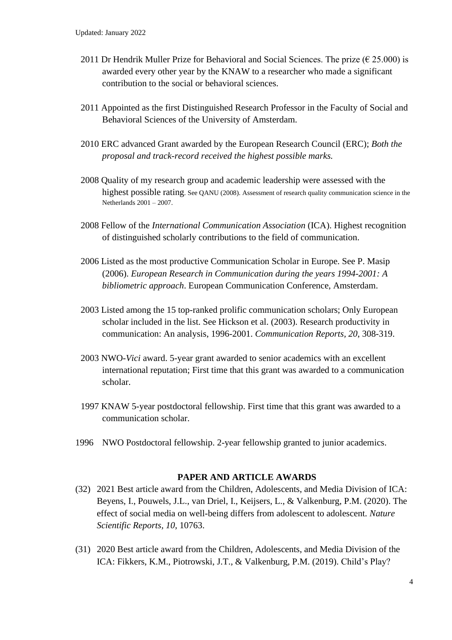- 2011 Dr Hendrik Muller Prize for Behavioral and Social Sciences. The prize ( $\epsilon$  25.000) is awarded every other year by the KNAW to a researcher who made a significant contribution to the social or behavioral sciences.
- 2011 Appointed as the first Distinguished Research Professor in the Faculty of Social and Behavioral Sciences of the University of Amsterdam.
- 2010 ERC advanced Grant awarded by the European Research Council (ERC); *Both the proposal and track-record received the highest possible marks.*
- 2008 Quality of my research group and academic leadership were assessed with the highest possible rating. See QANU (2008). Assessment of research quality communication science in the Netherlands 2001 – 2007.
- 2008 Fellow of the *International Communication Association* (ICA). Highest recognition of distinguished scholarly contributions to the field of communication.
- 2006 Listed as the most productive Communication Scholar in Europe. See P. Masip (2006). *European Research in Communication during the years 1994-2001: A bibliometric approach*. European Communication Conference, Amsterdam.
- 2003 Listed among the 15 top-ranked prolific communication scholars; Only European scholar included in the list. See Hickson et al. (2003). Research productivity in communication: An analysis, 1996-2001. *Communication Reports, 20*, 308-319.
- 2003 NWO-*Vici* award. 5-year grant awarded to senior academics with an excellent international reputation; First time that this grant was awarded to a communication scholar.
- 1997 KNAW 5-year postdoctoral fellowship. First time that this grant was awarded to a communication scholar.
- 1996 NWO Postdoctoral fellowship. 2-year fellowship granted to junior academics.

#### **PAPER AND ARTICLE AWARDS**

- (32) 2021 Best article award from the Children, Adolescents, and Media Division of ICA: Beyens, I., Pouwels, J.L., van Driel, I., Keijsers, L., & Valkenburg, P.M. (2020). The effect of social media on well-being differs from adolescent to adolescent. *Nature Scientific Reports, 10*, 10763.
- (31) 2020 Best article award from the Children, Adolescents, and Media Division of the ICA: Fikkers, K.M., Piotrowski, J.T., & Valkenburg, P.M. (2019). Child's Play?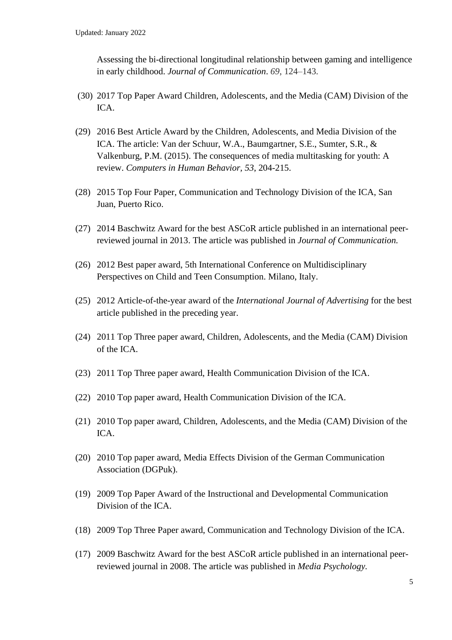Assessing the bi-directional longitudinal relationship between gaming and intelligence in early childhood. *Journal of Communication*. *69*, 124–143.

- (30) 2017 Top Paper Award Children, Adolescents, and the Media (CAM) Division of the ICA.
- (29) 2016 Best Article Award by the Children, Adolescents, and Media Division of the ICA. The article: Van der Schuur, W.A., Baumgartner, S.E., Sumter, S.R., & Valkenburg, P.M. (2015). The consequences of media multitasking for youth: A review. *Computers in Human Behavior, 53*, 204-215.
- (28) 2015 Top Four Paper, Communication and Technology Division of the ICA, San Juan, Puerto Rico.
- (27) 2014 Baschwitz Award for the best ASCoR article published in an international peerreviewed journal in 2013. The article was published in *Journal of Communication.*
- (26) 2012 Best paper award, 5th International Conference on Multidisciplinary Perspectives on Child and Teen Consumption. Milano, Italy.
- (25) 2012 Article-of-the-year award of the *International Journal of Advertising* for the best article published in the preceding year.
- (24) 2011 Top Three paper award, Children, Adolescents, and the Media (CAM) Division of the ICA.
- (23) 2011 Top Three paper award, Health Communication Division of the ICA.
- (22) 2010 Top paper award, Health Communication Division of the ICA.
- (21) 2010 Top paper award, Children, Adolescents, and the Media (CAM) Division of the ICA.
- (20) 2010 Top paper award, Media Effects Division of the German Communication Association (DGPuk).
- (19) 2009 Top Paper Award of the Instructional and Developmental Communication Division of the ICA.
- (18) 2009 Top Three Paper award, Communication and Technology Division of the ICA.
- (17) 2009 Baschwitz Award for the best ASCoR article published in an international peerreviewed journal in 2008. The article was published in *Media Psychology.*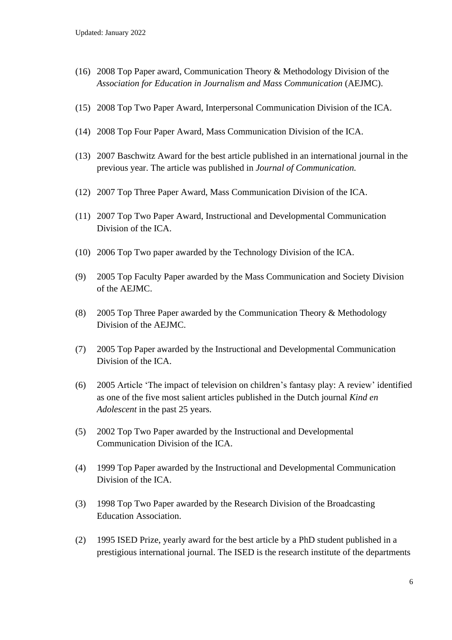- (16) 2008 Top Paper award, Communication Theory & Methodology Division of the *Association for Education in Journalism and Mass Communication* (AEJMC).
- (15) 2008 Top Two Paper Award, Interpersonal Communication Division of the ICA.
- (14) 2008 Top Four Paper Award, Mass Communication Division of the ICA.
- (13) 2007 Baschwitz Award for the best article published in an international journal in the previous year. The article was published in *Journal of Communication.*
- (12) 2007 Top Three Paper Award, Mass Communication Division of the ICA.
- (11) 2007 Top Two Paper Award, Instructional and Developmental Communication Division of the ICA.
- (10) 2006 Top Two paper awarded by the Technology Division of the ICA.
- (9) 2005 Top Faculty Paper awarded by the Mass Communication and Society Division of the AEJMC.
- (8) 2005 Top Three Paper awarded by the Communication Theory & Methodology Division of the AEJMC.
- (7) 2005 Top Paper awarded by the Instructional and Developmental Communication Division of the ICA.
- (6) 2005 Article 'The impact of television on children's fantasy play: A review' identified as one of the five most salient articles published in the Dutch journal *Kind en Adolescent* in the past 25 years.
- (5) 2002 Top Two Paper awarded by the Instructional and Developmental Communication Division of the ICA.
- (4) 1999 Top Paper awarded by the Instructional and Developmental Communication Division of the ICA.
- (3) 1998 Top Two Paper awarded by the Research Division of the Broadcasting Education Association.
- (2) 1995 ISED Prize, yearly award for the best article by a PhD student published in a prestigious international journal. The ISED is the research institute of the departments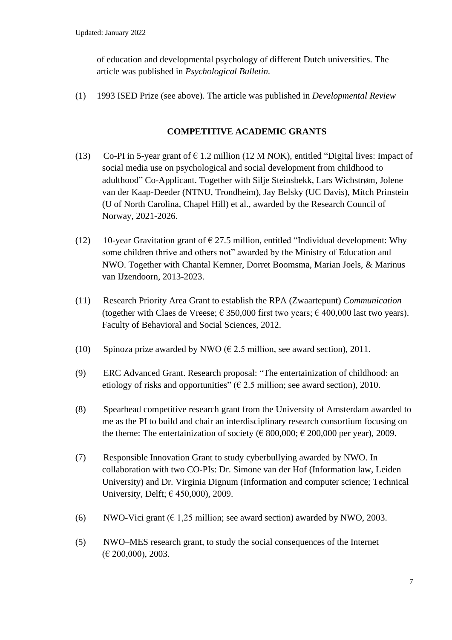of education and developmental psychology of different Dutch universities. The article was published in *Psychological Bulletin.*

(1) 1993 ISED Prize (see above). The article was published in *Developmental Review*

## **COMPETITIVE ACADEMIC GRANTS**

- (13) Co-PI in 5-year grant of  $\epsilon$  1.2 million (12 M NOK), entitled "Digital lives: Impact of social media use on psychological and social development from childhood to adulthood" Co-Applicant. Together with Silje Steinsbekk, Lars Wichstrøm, Jolene van der Kaap-Deeder (NTNU, Trondheim), Jay Belsky (UC Davis), Mitch Prinstein (U of North Carolina, Chapel Hill) et al., awarded by the Research Council of Norway, 2021-2026.
- (12) 10-year Gravitation grant of  $\epsilon$  27.5 million, entitled "Individual development: Why some children thrive and others not" awarded by the Ministry of Education and NWO. Together with Chantal Kemner, Dorret Boomsma, Marian Joels, & Marinus van IJzendoorn, 2013-2023.
- (11) Research Priority Area Grant to establish the RPA (Zwaartepunt) *Communication* (together with Claes de Vreese;  $\epsilon$  350,000 first two years;  $\epsilon$  400,000 last two years). Faculty of Behavioral and Social Sciences, 2012.
- (10) Spinoza prize awarded by NWO ( $\epsilon$  2.5 million, see award section), 2011.
- (9) ERC Advanced Grant. Research proposal: "The entertainization of childhood: an etiology of risks and opportunities" ( $\epsilon$  2.5 million; see award section), 2010.
- (8) Spearhead competitive research grant from the University of Amsterdam awarded to me as the PI to build and chair an interdisciplinary research consortium focusing on the theme: The entertainization of society ( $\in$  800,000;  $\in$  200,000 per year), 2009.
- (7) Responsible Innovation Grant to study cyberbullying awarded by NWO. In collaboration with two CO-PIs: Dr. Simone van der Hof (Information law, Leiden University) and Dr. Virginia Dignum (Information and computer science; Technical University, Delft;  $\in$  450,000), 2009.
- (6) NWO-Vici grant ( $\epsilon$  1,25 million; see award section) awarded by NWO, 2003.
- (5) NWO–MES research grant, to study the social consequences of the Internet (€ 200,000), 2003.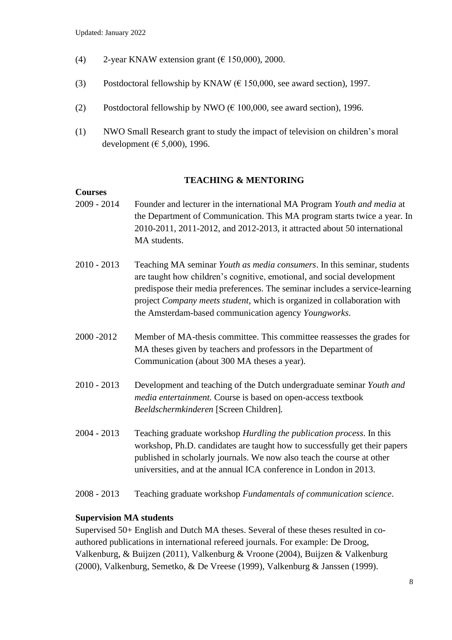- (4) 2-year KNAW extension grant ( $\epsilon$  150,000), 2000.
- (3) Postdoctoral fellowship by KNAW ( $\epsilon$  150,000, see award section), 1997.
- (2) Postdoctoral fellowship by NWO ( $\epsilon$  100,000, see award section), 1996.
- (1) NWO Small Research grant to study the impact of television on children's moral development ( $\in$  5,000), 1996.

## **TEACHING & MENTORING**

#### **Courses**

- 2009 2014 Founder and lecturer in the international MA Program *Youth and media* at the Department of Communication. This MA program starts twice a year. In 2010-2011, 2011-2012, and 2012-2013, it attracted about 50 international MA students.
- 2010 2013 Teaching MA seminar *Youth as media consumers*. In this seminar, students are taught how children's cognitive, emotional, and social development predispose their media preferences. The seminar includes a service-learning project *Company meets student*, which is organized in collaboration with the Amsterdam-based communication agency *Youngworks*.
- 2000 -2012 Member of MA-thesis committee. This committee reassesses the grades for MA theses given by teachers and professors in the Department of Communication (about 300 MA theses a year).
- 2010 2013 Development and teaching of the Dutch undergraduate seminar *Youth and media entertainment.* Course is based on open-access textbook *Beeldschermkinderen* [Screen Children]*.*
- 2004 2013 Teaching graduate workshop *Hurdling the publication process*. In this workshop, Ph.D. candidates are taught how to successfully get their papers published in scholarly journals. We now also teach the course at other universities, and at the annual ICA conference in London in 2013.
- 2008 2013 Teaching graduate workshop *Fundamentals of communication science*.

#### **Supervision MA students**

Supervised 50+ English and Dutch MA theses. Several of these theses resulted in coauthored publications in international refereed journals. For example: De Droog, Valkenburg, & Buijzen (2011), Valkenburg & Vroone (2004), Buijzen & Valkenburg (2000), Valkenburg, Semetko, & De Vreese (1999), Valkenburg & Janssen (1999).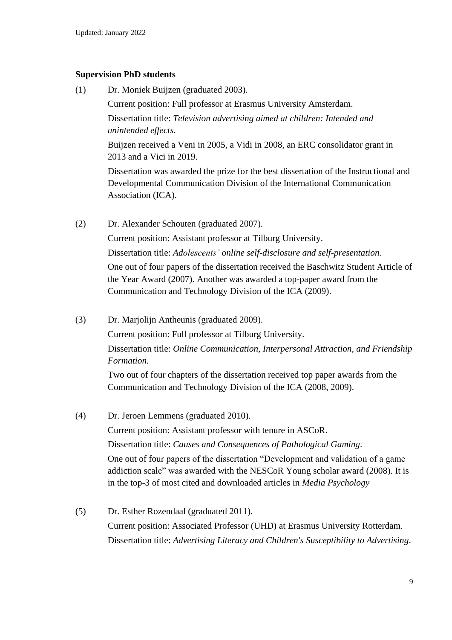## **Supervision PhD students**

(1) Dr. Moniek Buijzen (graduated 2003). Current position: Full professor at Erasmus University Amsterdam. Dissertation title: *Television advertising aimed at children: Intended and unintended effects*. Buijzen received a Veni in 2005, a Vidi in 2008, an ERC consolidator grant in 2013 and a Vici in 2019. Dissertation was awarded the prize for the best dissertation of the Instructional and Developmental Communication Division of the International Communication Association (ICA). (2) Dr. Alexander Schouten (graduated 2007). Current position: Assistant professor at Tilburg University. Dissertation title: *Adolescents' online self-disclosure and self-presentation.*

One out of four papers of the dissertation received the Baschwitz Student Article of the Year Award (2007). Another was awarded a top-paper award from the Communication and Technology Division of the ICA (2009).

(3) Dr. Marjolijn Antheunis (graduated 2009).

Current position: Full professor at Tilburg University.

Dissertation title: *Online Communication, Interpersonal Attraction, and Friendship Formation.* 

Two out of four chapters of the dissertation received top paper awards from the Communication and Technology Division of the ICA (2008, 2009).

- (4) Dr. Jeroen Lemmens (graduated 2010). Current position: Assistant professor with tenure in ASCoR. Dissertation title: *Causes and Consequences of Pathological Gaming*. One out of four papers of the dissertation "Development and validation of a game addiction scale" was awarded with the NESCoR Young scholar award (2008). It is in the top-3 of most cited and downloaded articles in *Media Psychology*
- (5) Dr. Esther Rozendaal (graduated 2011). Current position: Associated Professor (UHD) at Erasmus University Rotterdam. Dissertation title: *Advertising Literacy and Children's Susceptibility to Advertising*.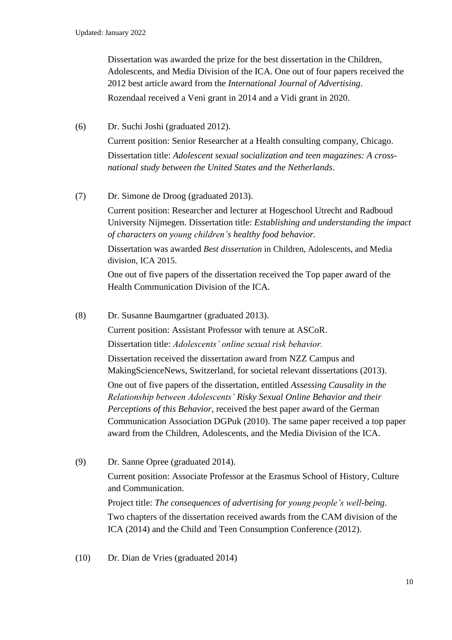Dissertation was awarded the prize for the best dissertation in the Children, Adolescents, and Media Division of the ICA. One out of four papers received the 2012 best article award from the *International Journal of Advertising.* Rozendaal received a Veni grant in 2014 and a Vidi grant in 2020.

(6) Dr. Suchi Joshi (graduated 2012).

Current position: Senior Researcher at a Health consulting company, Chicago. Dissertation title: *Adolescent sexual socialization and teen magazines: A crossnational study between the United States and the Netherlands*.

(7) Dr. Simone de Droog (graduated 2013).

Current position: Researcher and lecturer at Hogeschool Utrecht and Radboud University Nijmegen. Dissertation title: *Establishing and understanding the impact of characters on young children's healthy food behavior.*

Dissertation was awarded *Best dissertation* in Children, Adolescents, and Media division, ICA 2015.

One out of five papers of the dissertation received the Top paper award of the Health Communication Division of the ICA.

- (8) Dr. Susanne Baumgartner (graduated 2013). Current position: Assistant Professor with tenure at ASCoR. Dissertation title: *Adolescents' online sexual risk behavior.*  Dissertation received the dissertation award from NZZ Campus and MakingScienceNews, Switzerland, for societal relevant dissertations (2013). One out of five papers of the dissertation, entitled *Assessing Causality in the Relationship between Adolescents' Risky Sexual Online Behavior and their Perceptions of this Behavior,* received the best paper award of the German Communication Association DGPuk (2010). The same paper received a top paper award from the Children, Adolescents, and the Media Division of the ICA.
- (9) Dr. Sanne Opree (graduated 2014). Current position: Associate Professor at the Erasmus School of History, Culture and Communication. Project title: *The consequences of advertising for young people's well-being.* Two chapters of the dissertation received awards from the CAM division of the ICA (2014) and the Child and Teen Consumption Conference (2012).
- (10) Dr. Dian de Vries (graduated 2014)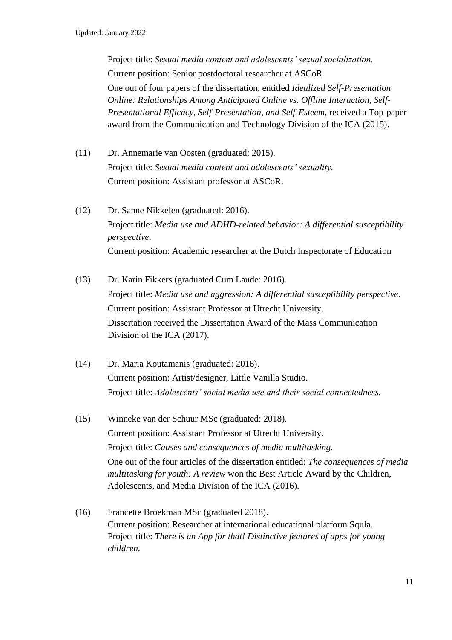Project title: *Sexual media content and adolescents' sexual socialization.* Current position: Senior postdoctoral researcher at ASCoR One out of four papers of the dissertation, entitled *Idealized Self-Presentation Online: Relationships Among Anticipated Online vs. Offline Interaction, Self-Presentational Efficacy, Self-Presentation, and Self-Esteem*, received a Top-paper award from the Communication and Technology Division of the ICA (2015).

- (11) Dr. Annemarie van Oosten (graduated: 2015). Project title: *Sexual media content and adolescents' sexuality.* Current position: Assistant professor at ASCoR.
- (12) Dr. Sanne Nikkelen (graduated: 2016). Project title: *Media use and ADHD-related behavior: A differential susceptibility perspective*. Current position: Academic researcher at the Dutch Inspectorate of Education
- (13) Dr. Karin Fikkers (graduated Cum Laude: 2016). Project title: *Media use and aggression: A differential susceptibility perspective*. Current position: Assistant Professor at Utrecht University. Dissertation received the Dissertation Award of the Mass Communication Division of the ICA (2017).
- (14) Dr. Maria Koutamanis (graduated: 2016). Current position: Artist/designer, Little Vanilla Studio. Project title: *Adolescents' social media use and their social connectedness.*
- (15) Winneke van der Schuur MSc (graduated: 2018). Current position: Assistant Professor at Utrecht University. Project title: *Causes and consequences of media multitasking.* One out of the four articles of the dissertation entitled: *The consequences of media multitasking for youth: A review* won the Best Article Award by the Children, Adolescents, and Media Division of the ICA (2016).
- (16) Francette Broekman MSc (graduated 2018). Current position: Researcher at international educational platform Squla. Project title: *There is an App for that! Distinctive features of apps for young children.*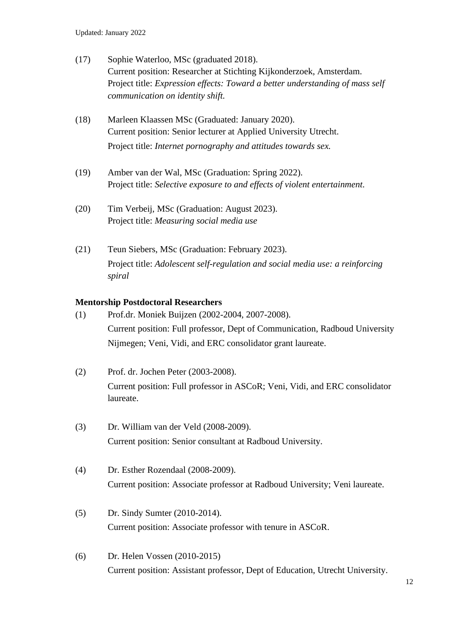- (17) Sophie Waterloo, MSc (graduated 2018). Current position: Researcher at Stichting Kijkonderzoek, Amsterdam. Project title: *Expression effects: Toward a better understanding of mass self communication on identity shift.*
- (18) Marleen Klaassen MSc (Graduated: January 2020). Current position: Senior lecturer at Applied University Utrecht. Project title: *Internet pornography and attitudes towards sex.*
- (19) Amber van der Wal, MSc (Graduation: Spring 2022). Project title: *Selective exposure to and effects of violent entertainment*.
- (20) Tim Verbeij, MSc (Graduation: August 2023). Project title: *Measuring social media use*
- (21) Teun Siebers, MSc (Graduation: February 2023). Project title: *Adolescent self-regulation and social media use: a reinforcing spiral*

## **Mentorship Postdoctoral Researchers**

- (1) Prof.dr. Moniek Buijzen (2002-2004, 2007-2008). Current position: Full professor, Dept of Communication, Radboud University Nijmegen; Veni, Vidi, and ERC consolidator grant laureate.
- (2) Prof. dr. Jochen Peter (2003-2008). Current position: Full professor in ASCoR; Veni, Vidi, and ERC consolidator laureate.
- (3) Dr. William van der Veld (2008-2009). Current position: Senior consultant at Radboud University.
- (4) Dr. Esther Rozendaal (2008-2009). Current position: Associate professor at Radboud University; Veni laureate.
- (5) Dr. Sindy Sumter (2010-2014). Current position: Associate professor with tenure in ASCoR.
- (6) Dr. Helen Vossen (2010-2015) Current position: Assistant professor, Dept of Education, Utrecht University.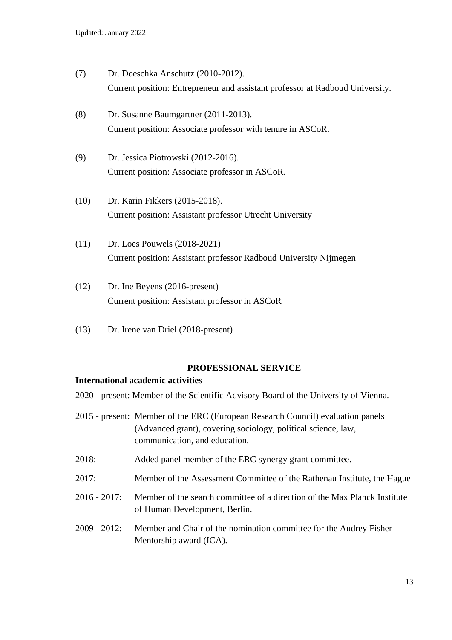- (7) Dr. Doeschka Anschutz (2010-2012). Current position: Entrepreneur and assistant professor at Radboud University.
- (8) Dr. Susanne Baumgartner (2011-2013). Current position: Associate professor with tenure in ASCoR.
- (9) Dr. Jessica Piotrowski (2012-2016). Current position: Associate professor in ASCoR.
- (10) Dr. Karin Fikkers (2015-2018). Current position: Assistant professor Utrecht University
- (11) Dr. Loes Pouwels (2018-2021) Current position: Assistant professor Radboud University Nijmegen
- (12) Dr. Ine Beyens (2016-present) Current position: Assistant professor in ASCoR
- (13) Dr. Irene van Driel (2018-present)

#### **PROFESSIONAL SERVICE**

#### **International academic activities**

- 2020 present: Member of the Scientific Advisory Board of the University of Vienna.
- 2015 present: Member of the ERC (European Research Council) evaluation panels (Advanced grant), covering sociology, political science, law, communication, and education.
- 2018: Added panel member of the ERC synergy grant committee.
- 2017: Member of the Assessment Committee of the Rathenau Institute, the Hague
- 2016 2017: Member of the search committee of a direction of the Max Planck Institute of Human Development, Berlin.
- 2009 2012: Member and Chair of the nomination committee for the Audrey Fisher Mentorship award (ICA).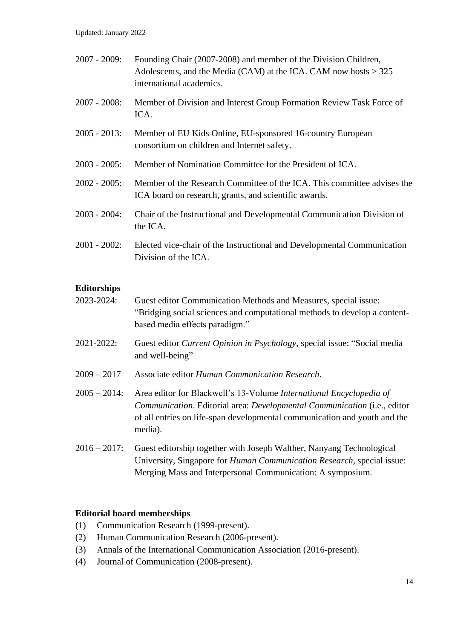Updated: January 2022

| 2007 - 2009:    | Founding Chair (2007-2008) and member of the Division Children,<br>Adolescents, and the Media (CAM) at the ICA. CAM now hosts $> 325$<br>international academics. |
|-----------------|-------------------------------------------------------------------------------------------------------------------------------------------------------------------|
| $2007 - 2008$ : | Member of Division and Interest Group Formation Review Task Force of<br>ICA.                                                                                      |
| 2005 - 2013:    | Member of EU Kids Online, EU-sponsored 16-country European<br>consortium on children and Internet safety.                                                         |
| $2003 - 2005$ : | Member of Nomination Committee for the President of ICA.                                                                                                          |
| $2002 - 2005$ : | Member of the Research Committee of the ICA. This committee advises the<br>ICA board on research, grants, and scientific awards.                                  |
| 2003 - 2004:    | Chair of the Instructional and Developmental Communication Division of<br>the ICA.                                                                                |
| 2001 - 2002:    | Elected vice-chair of the Instructional and Developmental Communication<br>Division of the ICA.                                                                   |
|                 |                                                                                                                                                                   |

## **Editorships**

- 2023-2024: Guest editor Communication Methods and Measures, special issue: "Bridging social sciences and computational methods to develop a contentbased media effects paradigm."
- 2021-2022: Guest editor *Current Opinion in Psychology*, special issue: "Social media and well-being"
- 2009 2017 Associate editor *Human Communication Research*.
- 2005 2014: Area editor for Blackwell's 13-Volume *International Encyclopedia of Communication*. Editorial area: *Developmental Communication* (i.e., editor of all entries on life-span developmental communication and youth and the media).
- 2016 2017: Guest editorship together with Joseph Walther, Nanyang Technological University, Singapore for *Human Communication Research,* special issue: Merging Mass and Interpersonal Communication: A symposium.

#### **Editorial board memberships**

- (1) Communication Research (1999-present).
- (2) Human Communication Research (2006-present).
- (3) Annals of the International Communication Association (2016-present).
- (4) Journal of Communication (2008-present).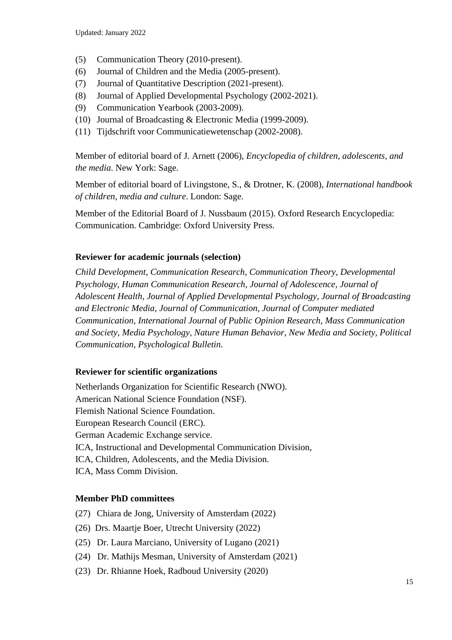- (5) Communication Theory (2010-present).
- (6) Journal of Children and the Media (2005-present).
- (7) Journal of Quantitative Description (2021-present).
- (8) Journal of Applied Developmental Psychology (2002-2021).
- (9) Communication Yearbook (2003-2009).
- (10) Journal of Broadcasting & Electronic Media (1999-2009).
- (11) Tijdschrift voor Communicatiewetenschap (2002-2008).

Member of editorial board of J. Arnett (2006), *Encyclopedia of children, adolescents, and the media*. New York: Sage.

Member of editorial board of Livingstone, S., & Drotner, K. (2008), *International handbook of children, media and culture*. London: Sage.

Member of the Editorial Board of J. Nussbaum (2015). Oxford Research Encyclopedia: Communication. Cambridge: Oxford University Press.

## **Reviewer for academic journals (selection)**

*Child Development, Communication Research, Communication Theory, Developmental Psychology, Human Communication Research, Journal of Adolescence, Journal of Adolescent Health, Journal of Applied Developmental Psychology, Journal of Broadcasting and Electronic Media, Journal of Communication, Journal of Computer mediated Communication, International Journal of Public Opinion Research, Mass Communication and Society, Media Psychology, Nature Human Behavior, New Media and Society, Political Communication, Psychological Bulletin.*

## **Reviewer for scientific organizations**

Netherlands Organization for Scientific Research (NWO). American National Science Foundation (NSF). Flemish National Science Foundation. European Research Council (ERC). German Academic Exchange service. ICA, Instructional and Developmental Communication Division, ICA, Children, Adolescents, and the Media Division. ICA, Mass Comm Division.

## **Member PhD committees**

- (27) Chiara de Jong, University of Amsterdam (2022)
- (26) Drs. Maartje Boer, Utrecht University (2022)
- (25) Dr. Laura Marciano, University of Lugano (2021)
- (24) Dr. Mathijs Mesman, University of Amsterdam (2021)
- (23) Dr. Rhianne Hoek, Radboud University (2020)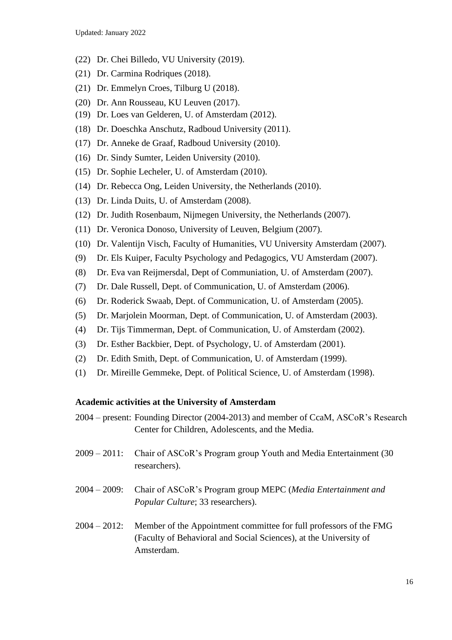- (22) Dr. Chei Billedo, VU University (2019).
- (21) Dr. Carmina Rodriques (2018).
- (21) Dr. Emmelyn Croes, Tilburg U (2018).
- (20) Dr. Ann Rousseau, KU Leuven (2017).
- (19) Dr. Loes van Gelderen, U. of Amsterdam (2012).
- (18) Dr. Doeschka Anschutz, Radboud University (2011).
- (17) Dr. Anneke de Graaf, Radboud University (2010).
- (16) Dr. Sindy Sumter, Leiden University (2010).
- (15) Dr. Sophie Lecheler, U. of Amsterdam (2010).
- (14) Dr. Rebecca Ong, Leiden University, the Netherlands (2010).
- (13) Dr. Linda Duits, U. of Amsterdam (2008).
- (12) Dr. Judith Rosenbaum, Nijmegen University, the Netherlands (2007).
- (11) Dr. Veronica Donoso, University of Leuven, Belgium (2007).
- (10) Dr. Valentijn Visch, Faculty of Humanities, VU University Amsterdam (2007).
- (9) Dr. Els Kuiper, Faculty Psychology and Pedagogics, VU Amsterdam (2007).
- (8) Dr. Eva van Reijmersdal, Dept of Communiation, U. of Amsterdam (2007).
- (7) Dr. Dale Russell, Dept. of Communication, U. of Amsterdam (2006).
- (6) Dr. Roderick Swaab, Dept. of Communication, U. of Amsterdam (2005).
- (5) Dr. Marjolein Moorman, Dept. of Communication, U. of Amsterdam (2003).
- (4) Dr. Tijs Timmerman, Dept. of Communication, U. of Amsterdam (2002).
- (3) Dr. Esther Backbier, Dept. of Psychology, U. of Amsterdam (2001).
- (2) Dr. Edith Smith, Dept. of Communication, U. of Amsterdam (1999).
- (1) Dr. Mireille Gemmeke, Dept. of Political Science, U. of Amsterdam (1998).

#### **Academic activities at the University of Amsterdam**

| 2004 – present: Founding Director (2004-2013) and member of CcaM, ASCoR's Research |
|------------------------------------------------------------------------------------|
| Center for Children, Adolescents, and the Media.                                   |

- 2009 2011: Chair of ASCoR's Program group Youth and Media Entertainment (30 researchers).
- 2004 2009: Chair of ASCoR's Program group MEPC (*Media Entertainment and Popular Culture*; 33 researchers).
- 2004 2012: Member of the Appointment committee for full professors of the FMG (Faculty of Behavioral and Social Sciences), at the University of Amsterdam.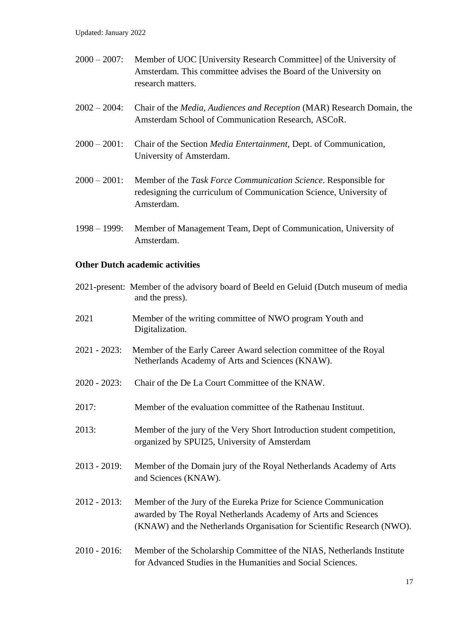- 2000 2007: Member of UOC [University Research Committee] of the University of Amsterdam. This committee advises the Board of the University on research matters.
- 2002 2004: Chair of the *Media, Audiences and Reception* (MAR) Research Domain, the Amsterdam School of Communication Research, ASCoR.
- 2000 2001: Chair of the Section *Media Entertainment*, Dept. of Communication, University of Amsterdam.
- 2000 2001: Member of the *Task Force Communication Science*. Responsible for redesigning the curriculum of Communication Science, University of Amsterdam.
- 1998 1999: Member of Management Team, Dept of Communication, University of Amsterdam.

## **Other Dutch academic activities**

|              | 2021-present: Member of the advisory board of Beeld en Geluid (Dutch museum of media<br>and the press).                                                                                                     |
|--------------|-------------------------------------------------------------------------------------------------------------------------------------------------------------------------------------------------------------|
| 2021         | Member of the writing committee of NWO program Youth and<br>Digitalization.                                                                                                                                 |
| 2021 - 2023: | Member of the Early Career Award selection committee of the Royal<br>Netherlands Academy of Arts and Sciences (KNAW).                                                                                       |
| 2020 - 2023: | Chair of the De La Court Committee of the KNAW.                                                                                                                                                             |
| 2017:        | Member of the evaluation committee of the Rathenau Instituut.                                                                                                                                               |
| 2013:        | Member of the jury of the Very Short Introduction student competition,<br>organized by SPUI25, University of Amsterdam                                                                                      |
| 2013 - 2019: | Member of the Domain jury of the Royal Netherlands Academy of Arts<br>and Sciences (KNAW).                                                                                                                  |
| 2012 - 2013: | Member of the Jury of the Eureka Prize for Science Communication<br>awarded by The Royal Netherlands Academy of Arts and Sciences<br>(KNAW) and the Netherlands Organisation for Scientific Research (NWO). |
| 2010 - 2016: | Member of the Scholarship Committee of the NIAS, Netherlands Institute<br>for Advanced Studies in the Humanities and Social Sciences.                                                                       |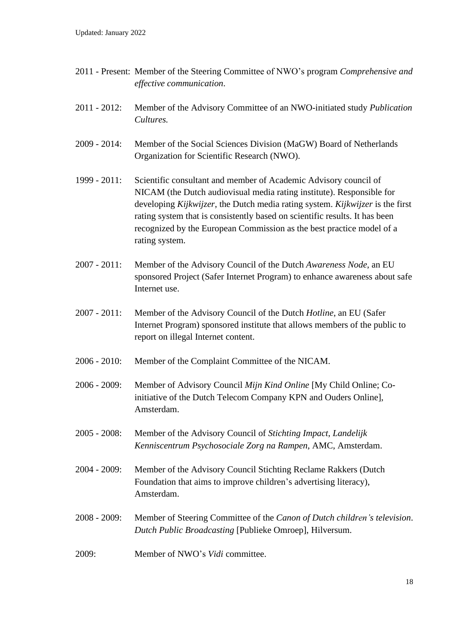- 2011 Present: Member of the Steering Committee of NWO's program *Comprehensive and effective communication*.
- 2011 2012: Member of the Advisory Committee of an NWO-initiated study *Publication Cultures.*
- 2009 2014: Member of the Social Sciences Division (MaGW) Board of Netherlands Organization for Scientific Research (NWO).
- 1999 2011: Scientific consultant and member of Academic Advisory council of NICAM (the Dutch audiovisual media rating institute). Responsible for developing *Kijkwijzer*, the Dutch media rating system. *Kijkwijzer* is the first rating system that is consistently based on scientific results. It has been recognized by the European Commission as the best practice model of a rating system.
- 2007 2011: Member of the Advisory Council of the Dutch *Awareness Node*, an EU sponsored Project (Safer Internet Program) to enhance awareness about safe Internet use.
- 2007 2011: Member of the Advisory Council of the Dutch *Hotline*, an EU (Safer Internet Program) sponsored institute that allows members of the public to report on illegal Internet content.
- 2006 2010: Member of the Complaint Committee of the NICAM.
- 2006 2009: Member of Advisory Council *Mijn Kind Online* [My Child Online; Coinitiative of the Dutch Telecom Company KPN and Ouders Online], Amsterdam.
- 2005 2008: Member of the Advisory Council of *Stichting Impact*, *Landelijk Kenniscentrum Psychosociale Zorg na Rampen*, AMC, Amsterdam.
- 2004 2009: Member of the Advisory Council Stichting Reclame Rakkers (Dutch Foundation that aims to improve children's advertising literacy), Amsterdam.
- 2008 2009: Member of Steering Committee of the *Canon of Dutch children's television*. *Dutch Public Broadcasting* [Publieke Omroep], Hilversum.
- 2009: Member of NWO's *Vidi* committee.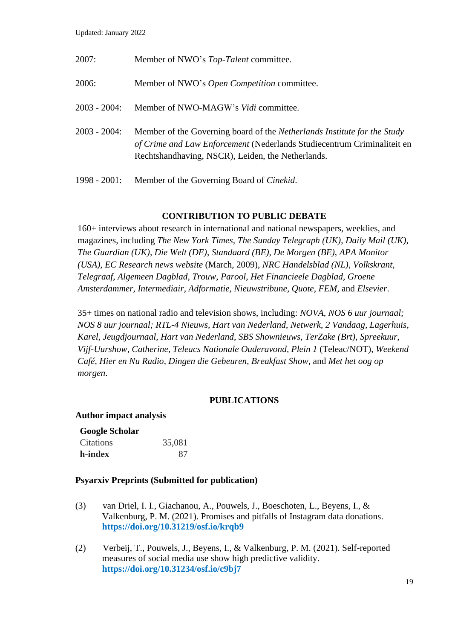Updated: January 2022

| 2007:           | Member of NWO's Top-Talent committee.                                                                                                                                                                           |
|-----------------|-----------------------------------------------------------------------------------------------------------------------------------------------------------------------------------------------------------------|
| 2006:           | Member of NWO's <i>Open Competition</i> committee.                                                                                                                                                              |
| 2003 - 2004:    | Member of NWO-MAGW's <i>Vidi</i> committee.                                                                                                                                                                     |
| 2003 - 2004:    | Member of the Governing board of the <i>Netherlands Institute for the Study</i><br>of Crime and Law Enforcement (Nederlands Studiecentrum Criminaliteit en<br>Rechtshandhaving, NSCR), Leiden, the Netherlands. |
| $1998 - 2001$ : | Member of the Governing Board of <i>Cinekid</i> .                                                                                                                                                               |

# **CONTRIBUTION TO PUBLIC DEBATE**

160+ interviews about research in international and national newspapers, weeklies, and magazines, including *The New York Times, The Sunday Telegraph (UK)*, *Daily Mail (UK)*, *The Guardian (UK), Die Welt (DE)*, *Standaard (BE), De Morgen (BE)*, *APA Monitor (USA), EC Research news website* (March, 2009), *NRC Handelsblad (NL)*, *Volkskrant*, *Telegraaf*, *Algemeen Dagblad*, *Trouw*, *Parool*, *Het Financieele Dagblad, Groene Amsterdammer, Intermediair*, *Adformatie, Nieuwstribune, Quote, FEM,* and *Elsevier*.

35+ times on national radio and television shows, including: *NOVA, NOS 6 uur journaal; NOS 8 uur journaal; RTL-4 Nieuws, Hart van Nederland*, *Netwerk*, *2 Vandaag, Lagerhuis*, *Karel, Jeugdjournaal*, *Hart van Nederland*, *SBS Shownieuws, TerZake (Brt)*, *Spreekuur*, *Vijf-Uurshow*, *Catherine*, *Teleacs Nationale Ouderavond, Plein 1* (Teleac/NOT), *Weekend Café*, *Hier en Nu Radio*, *Dingen die Gebeuren*, *Breakfast Show,* and *Met het oog op morgen*.

# **PUBLICATIONS**

# **Author impact analysis**

# **Google Scholar**

| Citations | 35,081 |
|-----------|--------|
| h-index   | 87     |

# **Psyarxiv Preprints (Submitted for publication)**

- (3) van Driel, I. I., Giachanou, A., Pouwels, J., Boeschoten, L., Beyens, I., & Valkenburg, P. M. (2021). Promises and pitfalls of Instagram data donations. **<https://doi.org/10.31219/osf.io/krqb9>**
- (2) Verbeij, T., Pouwels, J., Beyens, I., & Valkenburg, P. M. (2021). Self-reported measures of social media use show high predictive validity. **<https://doi.org/10.31234/osf.io/c9bj7>**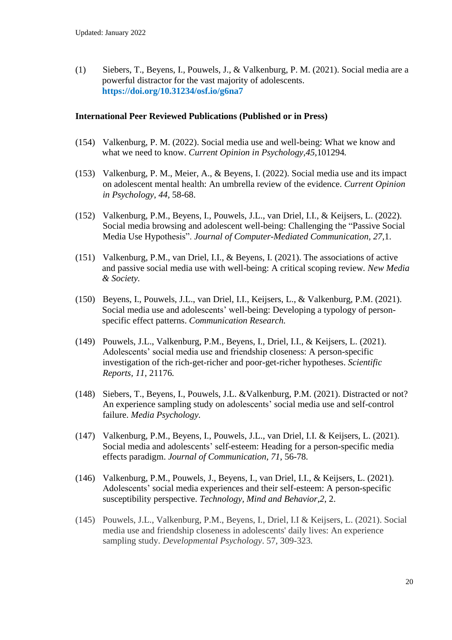(1) Siebers, T., Beyens, I., Pouwels, J., & Valkenburg, P. M. (2021). Social media are a powerful distractor for the vast majority of adolescents. **<https://doi.org/10.31234/osf.io/g6na7>**

## **International Peer Reviewed Publications (Published or in Press)**

- (154) Valkenburg, P. M. (2022). Social media use and well-being: What we know and what we need to know. *Current Opinion in Psychology,45,*101294*.*
- (153) Valkenburg, P. M., Meier, A., & Beyens, I. (2022). Social media use and its impact on adolescent mental health: An umbrella review of the evidence. *Current Opinion in Psychology*, *44,* 58-68.
- (152) Valkenburg, P.M., Beyens, I., Pouwels, J.L., van Driel, I.I., & Keijsers, L. (2022). Social media browsing and adolescent well-being: Challenging the "Passive Social Media Use Hypothesis". *Journal of Computer-Mediated Communication, 27,*1.
- (151) Valkenburg, P.M., van Driel, I.I., & Beyens, I. (2021). The associations of active and passive social media use with well-being: A critical scoping review*. New Media & Society.*
- (150) Beyens, I., Pouwels, J.L., van Driel, I.I., Keijsers, L., & Valkenburg, P.M. (2021). Social media use and adolescents' well-being: Developing a typology of personspecific effect patterns. *Communication Research.*
- (149) Pouwels, J.L., Valkenburg, P.M., Beyens, I., Driel, I.I., & Keijsers, L. (2021). Adolescents' social media use and friendship closeness: A person-specific investigation of the rich-get-richer and poor-get-richer hypotheses. *Scientific Reports, 11,* 21176*.*
- (148) Siebers, T., Beyens, I., Pouwels, J.L. &Valkenburg, P.M. (2021). Distracted or not? An experience sampling study on adolescents' social media use and self-control failure. *Media Psychology.*
- (147) Valkenburg, P.M., Beyens, I., Pouwels, J.L., van Driel, I.I. & Keijsers, L. (2021). Social media and adolescents' self-esteem: Heading for a person-specific media effects paradigm. *Journal of Communication, 71*, 56-78.
- (146) Valkenburg, P.M., Pouwels, J., Beyens, I., van Driel, I.I., & Keijsers, L. (2021). Adolescents' social media experiences and their self-esteem: A person-specific susceptibility perspective. *Technology, Mind and Behavior,2*, 2.
- (145) Pouwels, J.L., Valkenburg, P.M., Beyens, I., Driel, I.I & Keijsers, L. (2021). Social media use and friendship closeness in adolescents' daily lives: An experience sampling study. *Developmental Psychology*. 57*,* 309-323*.*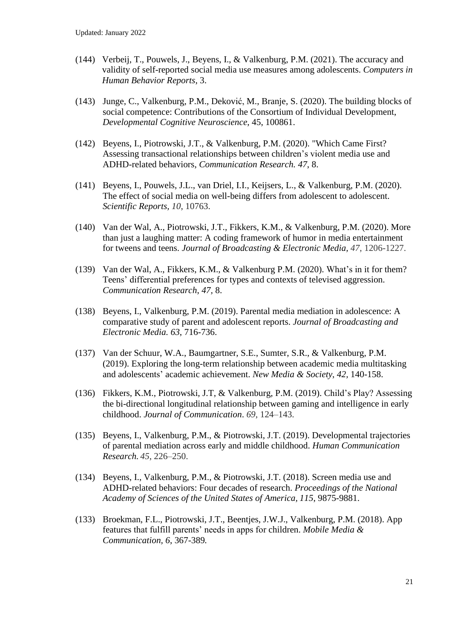- (144) Verbeij, T., Pouwels, J., Beyens, I., & Valkenburg, P.M. (2021). The accuracy and validity of self-reported social media use measures among adolescents. *Computers in Human Behavior Reports*, 3.
- (143) Junge, C., Valkenburg, P.M., Deković, M., Branje, S. (2020). The building blocks of social competence: Contributions of the Consortium of Individual Development, *Developmental Cognitive Neuroscience*, 45, 100861.
- (142) Beyens, I., Piotrowski, J.T., & Valkenburg, P.M. (2020). "Which Came First? Assessing transactional relationships between children's violent media use and ADHD-related behaviors, *Communication Research. 47*, 8.
- (141) Beyens, I., Pouwels, J.L., van Driel, I.I., Keijsers, L., & Valkenburg, P.M. (2020). The effect of social media on well-being differs from adolescent to adolescent. *Scientific Reports, 10*, 10763.
- (140) Van der Wal, A., Piotrowski, J.T., Fikkers, K.M., & Valkenburg, P.M. (2020). More than just a laughing matter: A coding framework of humor in media entertainment for tweens and teens. *Journal of Broadcasting & Electronic Media, 47*, 1206-1227.
- (139) Van der Wal, A., Fikkers, K.M., & Valkenburg P.M. (2020). What's in it for them? Teens' differential preferences for types and contexts of televised aggression. *Communication Research*, *47,* 8.
- (138) Beyens, I., Valkenburg, P.M. (2019). Parental media mediation in adolescence: A comparative study of parent and adolescent reports. *Journal of Broadcasting and Electronic Media. 63*, 716-736.
- (137) Van der Schuur, W.A., Baumgartner, S.E., Sumter, S.R., & Valkenburg, P.M. (2019). Exploring the long-term relationship between academic media multitasking and adolescents' academic achievement. *New Media & Society*, *42,* 140-158.
- (136) Fikkers, K.M., Piotrowski, J.T, & Valkenburg, P.M. (2019). Child's Play? Assessing the bi-directional longitudinal relationship between gaming and intelligence in early childhood. *Journal of Communication*. *69*, 124–143.
- (135) Beyens, I., Valkenburg, P.M., & Piotrowski, J.T. (2019). Developmental trajectories of parental mediation across early and middle childhood. *Human Communication Research. 45*, 226–250.
- (134) Beyens, I., Valkenburg, P.M., & Piotrowski, J.T. (2018). Screen media use and ADHD-related behaviors: Four decades of research. *Proceedings of the National Academy of Sciences of the United States of America, 115*, 9875-9881.
- (133) Broekman, F.L., Piotrowski, J.T., Beentjes, J.W.J., Valkenburg, P.M. (2018). App features that fulfill parents' needs in apps for children. *Mobile Media & Communication, 6*, 367-389*.*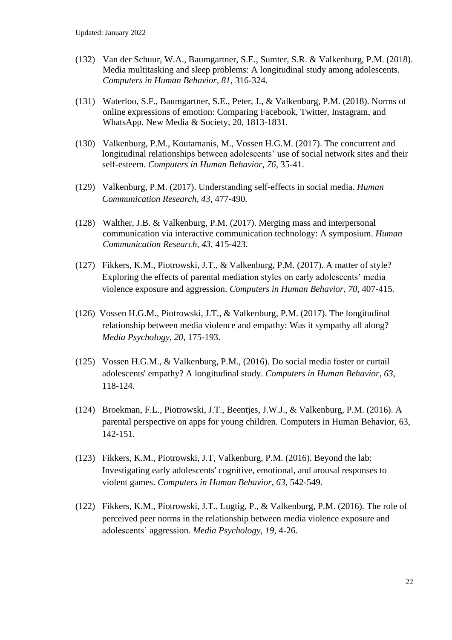- (132) Van der Schuur, W.A., Baumgartner, S.E., Sumter, S.R. & Valkenburg, P.M. (2018). Media multitasking and sleep problems: A longitudinal study among adolescents. *Computers in Human Behavior, 81*, 316-324.
- (131) Waterloo, S.F., Baumgartner, S.E., Peter, J., & Valkenburg, P.M. (2018). Norms of online expressions of emotion: Comparing Facebook, Twitter, Instagram, and WhatsApp. New Media & Society, 20, 1813-1831.
- (130) Valkenburg, P.M., Koutamanis, M., Vossen H.G.M. (2017). The concurrent and longitudinal relationships between adolescents' use of social network sites and their self-esteem. *Computers in Human Behavior*, *76,* 35-41.
- (129) Valkenburg, P.M. (2017). Understanding self-effects in social media. *Human Communication Research, 43,* 477-490*.*
- (128) Walther, J.B. & Valkenburg, P.M. (2017). Merging mass and interpersonal communication via interactive communication technology: A symposium. *Human Communication Research, 43*, 415-423.
- (127) Fikkers, K.M., Piotrowski, J.T., & Valkenburg, P.M. (2017). A matter of style? Exploring the effects of parental mediation styles on early adolescents' media violence exposure and aggression. *Computers in Human Behavior*, *70,* 407-415.
- (126) Vossen H.G.M., Piotrowski, J.T., & Valkenburg, P.M. (2017). The longitudinal relationship between media violence and empathy: Was it sympathy all along? *Media Psychology*, *20*, 175-193.
- (125) Vossen H.G.M., & Valkenburg, P.M., (2016). Do social media foster or curtail adolescents' empathy? A longitudinal study. *Computers in Human Behavior*, *63*, 118-124.
- (124) Broekman, F.L., Piotrowski, J.T., Beentjes, J.W.J., & Valkenburg, P.M. (2016). A parental perspective on apps for young children. Computers in Human Behavior, 63, 142-151.
- (123) Fikkers, K.M., Piotrowski, J.T, Valkenburg, P.M. (2016). Beyond the lab: Investigating early adolescents' cognitive, emotional, and arousal responses to violent games. *Computers in Human Behavior*, *63*, 542-549.
- (122) Fikkers, K.M., Piotrowski, J.T., Lugtig, P., & Valkenburg, P.M. (2016). The role of perceived peer norms in the relationship between media violence exposure and adolescents' aggression. *Media Psychology, 19,* 4-26.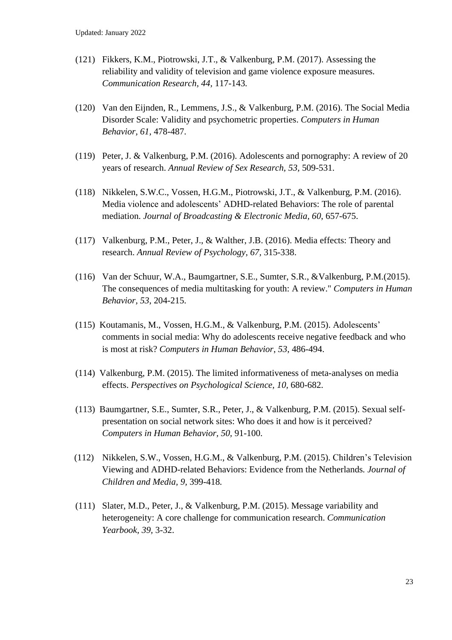- (121) Fikkers, K.M., Piotrowski, J.T., & Valkenburg, P.M. (2017). Assessing the reliability and validity of television and game violence exposure measures. *Communication Research, 44,* 117-143*.*
- (120) Van den Eijnden, R., Lemmens, J.S., & Valkenburg, P.M. (2016). The Social Media Disorder Scale: Validity and psychometric properties. *Computers in Human Behavior, 61,* 478-487.
- (119) Peter, J. & Valkenburg, P.M. (2016). Adolescents and pornography: A review of 20 years of research. *Annual Review of Sex Research, 53,* 509-531.
- (118) Nikkelen, S.W.C., Vossen, H.G.M., Piotrowski, J.T., & Valkenburg, P.M. (2016). Media violence and adolescents' ADHD-related Behaviors: The role of parental mediation. *Journal of Broadcasting & Electronic Media, 60*, 657-675.
- (117) Valkenburg, P.M., Peter, J., & Walther, J.B. (2016). Media effects: Theory and research. *Annual Review of Psychology, 67,* 315-338.
- (116) Van der Schuur, W.A., Baumgartner, S.E., Sumter, S.R., &Valkenburg, P.M.(2015). The consequences of media multitasking for youth: A review." *Computers in Human Behavior, 53*, 204-215.
- (115) Koutamanis, M., Vossen, H.G.M., & Valkenburg, P.M. (2015). Adolescents' comments in social media: Why do adolescents receive negative feedback and who is most at risk? *Computers in Human Behavior*, *53*, 486-494.
- (114) Valkenburg, P.M. (2015). The limited informativeness of meta-analyses on media effects. *Perspectives on Psychological Science, 10,* 680-682.
- (113) Baumgartner, S.E., Sumter, S.R., Peter, J., & Valkenburg, P.M. (2015). Sexual selfpresentation on social network sites: Who does it and how is it perceived? *Computers in Human Behavior, 50,* 91-100.
- (112) Nikkelen, S.W., Vossen, H.G.M., & Valkenburg, P.M. (2015). Children's Television Viewing and ADHD-related Behaviors: Evidence from the Netherlands*. Journal of Children and Media, 9,* 399-418*.*
- (111) Slater, M.D., Peter, J., & Valkenburg, P.M. (2015). Message variability and heterogeneity: A core challenge for communication research. *Communication Yearbook, 39,* 3-32.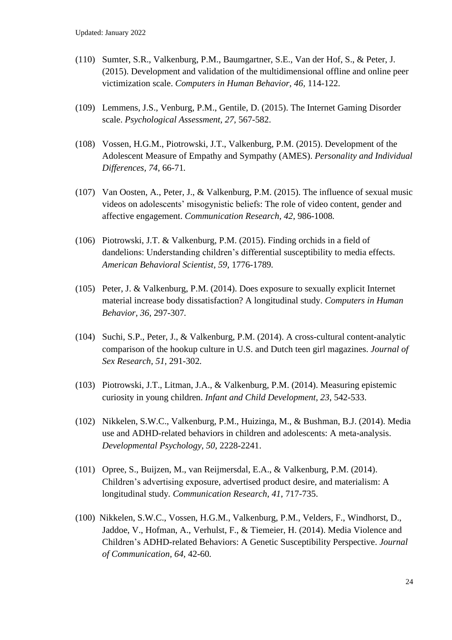- (110) Sumter, S.R., Valkenburg, P.M., Baumgartner, S.E., Van der Hof, S., & Peter, J. (2015). Development and validation of the multidimensional offline and online peer victimization scale. *Computers in Human Behavior, 46,* 114-122.
- (109) Lemmens, J.S., Venburg, P.M., Gentile, D. (2015). The Internet Gaming Disorder scale. *Psychological Assessment, 27,* 567-582.
- (108) Vossen, H.G.M., Piotrowski, J.T., Valkenburg, P.M. (2015). Development of the Adolescent Measure of Empathy and Sympathy (AMES). *Personality and Individual Differences, 74,* 66-71*.*
- (107) Van Oosten, A., Peter, J., & Valkenburg, P.M. (2015). The influence of sexual music videos on adolescents' misogynistic beliefs: The role of video content, gender and affective engagement. *Communication Research, 42,* 986-1008*.*
- (106) Piotrowski, J.T. & Valkenburg, P.M. (2015). Finding orchids in a field of dandelions: Understanding children's differential susceptibility to media effects. *American Behavioral Scientist, 59,* 1776-1789*.*
- (105) Peter, J. & Valkenburg, P.M. (2014). Does exposure to sexually explicit Internet material increase body dissatisfaction? A longitudinal study. *Computers in Human Behavior, 36,* 297-307*.*
- (104) Suchi, S.P., Peter, J., & Valkenburg, P.M. (2014). A cross-cultural content-analytic comparison of the hookup culture in U.S. and Dutch teen girl magazines. *Journal of Sex Research, 51,* 291-302*.*
- (103) Piotrowski, J.T., Litman, J.A., & Valkenburg, P.M. (2014). Measuring epistemic curiosity in young children. *Infant and Child Development, 23*, 542-533.
- (102) Nikkelen, S.W.C., Valkenburg, P.M., Huizinga, M., & Bushman, B.J. (2014). Media use and ADHD-related behaviors in children and adolescents: A meta-analysis. *Developmental Psychology, 50*, 2228-2241.
- (101) Opree, S., Buijzen, M., van Reijmersdal, E.A., & Valkenburg, P.M. (2014). Children's advertising exposure, advertised product desire, and materialism: A longitudinal study*. Communication Research, 41*, 717-735.
- (100) Nikkelen, S.W.C., Vossen, H.G.M., Valkenburg, P.M., Velders, F., Windhorst, D., Jaddoe, V., Hofman, A., Verhulst, F., & Tiemeier, H. (2014). Media Violence and Children's ADHD-related Behaviors: A Genetic Susceptibility Perspective. *Journal of Communication, 64,* 42-60*.*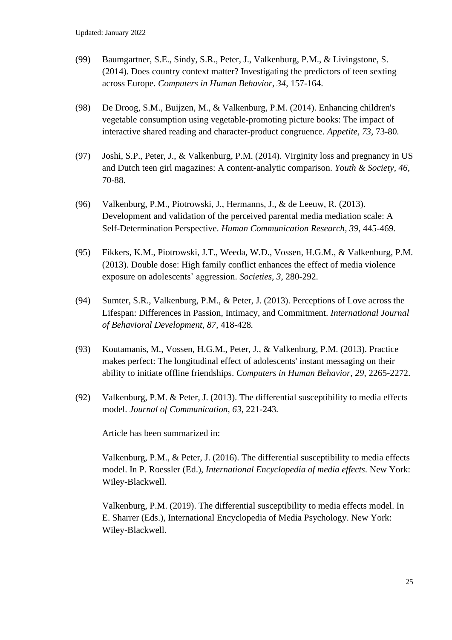- (99) Baumgartner, S.E., Sindy, S.R., Peter, J., Valkenburg, P.M., & Livingstone, S. (2014). Does country context matter? Investigating the predictors of teen sexting across Europe. *Computers in Human Behavior, 34,* 157-164.
- (98) De Droog, S.M., Buijzen, M., & Valkenburg, P.M. (2014). Enhancing children's vegetable consumption using vegetable-promoting picture books: The impact of interactive shared reading and character-product congruence. *Appetite, 73,* 73-80*.*
- (97) Joshi, S.P., Peter, J., & Valkenburg, P.M. (2014). Virginity loss and pregnancy in US and Dutch teen girl magazines: A content-analytic comparison. *Youth & Society, 46,* 70-88.
- (96) Valkenburg, P.M., Piotrowski, J., Hermanns, J., & de Leeuw, R. (2013). Development and validation of the perceived parental media mediation scale: A Self-Determination Perspective. *Human Communication Research, 39,* 445-469*.*
- (95) Fikkers, K.M., Piotrowski, J.T., Weeda, W.D., Vossen, H.G.M., & Valkenburg, P.M. (2013). Double dose: High family conflict enhances the effect of media violence exposure on adolescents' aggression. *Societies, 3*, 280-292.
- (94) Sumter, S.R., Valkenburg, P.M., & Peter, J. (2013). Perceptions of Love across the Lifespan: Differences in Passion, Intimacy, and Commitment. *International Journal of Behavioral Development, 87,* 418-428*.*
- (93) Koutamanis, M., Vossen, H.G.M., Peter, J., & Valkenburg, P.M. (2013). Practice makes perfect: The longitudinal effect of adolescents' instant messaging on their ability to initiate offline friendships. *Computers in Human Behavior, 29,* 2265-2272.
- (92) Valkenburg, P.M. & Peter, J. (2013). The differential susceptibility to media effects model. *Journal of Communication, 63,* 221-243*.*

Article has been summarized in:

Valkenburg, P.M., & Peter, J. (2016). The differential susceptibility to media effects model. In P. Roessler (Ed.), *International Encyclopedia of media effects*. New York: Wiley-Blackwell.

Valkenburg, P.M. (2019). The differential susceptibility to media effects model. In E. Sharrer (Eds.), International Encyclopedia of Media Psychology. New York: Wiley-Blackwell.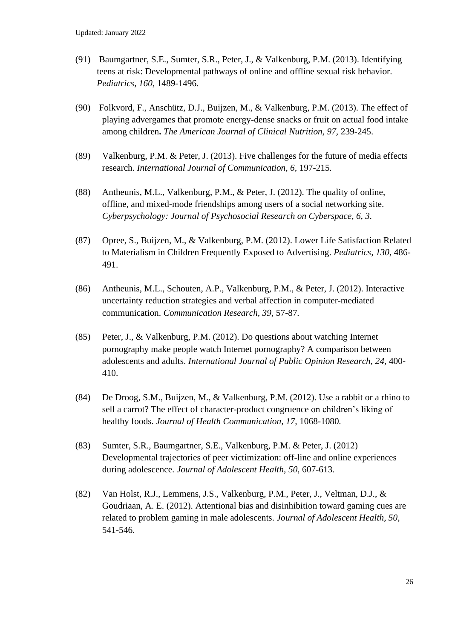- (91) Baumgartner, S.E., Sumter, S.R., Peter, J., & Valkenburg, P.M. (2013). Identifying teens at risk: Developmental pathways of online and offline sexual risk behavior. *Pediatrics, 160,* 1489-1496.
- (90) Folkvord, F., Anschütz, D.J., Buijzen, M., & Valkenburg, P.M. (2013). [The effect of](http://www.ccam-ascor.nl/images/stories/publications/Journal_PDF_ENG/2012/2012%20Folkvord%20Anschutz%20Buijzen%20%20Valkenburg%20effect%20advergames%20eating%20snacks%20and%20fruits%20.pdf)  playing [advergames that promote energy-dense](http://www.ccam-ascor.nl/images/stories/publications/Journal_PDF_ENG/2012/2012%20Folkvord%20Anschutz%20Buijzen%20%20Valkenburg%20effect%20advergames%20eating%20snacks%20and%20fruits%20.pdf) snacks or fruit on actual food intake [among children](http://www.ccam-ascor.nl/images/stories/publications/Journal_PDF_ENG/2012/2012%20Folkvord%20Anschutz%20Buijzen%20%20Valkenburg%20effect%20advergames%20eating%20snacks%20and%20fruits%20.pdf)**.** *The American Journal of Clinical Nutrition, 97,* 239-245.
- (89) Valkenburg, P.M. & Peter, J. (2013). Five challenges for the future of media effects research. *International Journal of Communication, 6,* 197-215*.*
- (88) Antheunis, M.L., Valkenburg, P.M., & Peter, J. (2012). The quality of online, offline, and mixed-mode friendships among users of a social networking site. *Cyberpsychology: Journal of Psychosocial Research on Cyberspace, 6, 3.*
- (87) Opree, S., Buijzen, M., & Valkenburg, P.M. (2012). Lower Life Satisfaction Related to Materialism in Children Frequently Exposed to Advertising. *Pediatrics, 130,* 486- 491.
- (86) Antheunis, M.L., Schouten, A.P., Valkenburg, P.M., & Peter, J. (2012). Interactive uncertainty reduction strategies and verbal affection in computer-mediated communication. *Communication Research, 39,* 57-87*.*
- (85) Peter, J., & Valkenburg, P.M. (2012). Do questions about watching Internet pornography make people watch Internet pornography? A comparison between adolescents and adults. *International Journal of Public Opinion Research, 24,* 400- 410.
- (84) De Droog, S.M., Buijzen, M., & Valkenburg, P.M. (2012). Use a rabbit or a rhino to sell a carrot? The effect of character-product congruence on children's liking of healthy foods. *Journal of Health Communication, 17,* 1068-1080*.*
- (83) Sumter, S.R., Baumgartner, S.E., Valkenburg, P.M. & Peter, J. (2012) Developmental trajectories of peer victimization: off-line and online experiences during adolescence. *Journal of Adolescent Health, 50,* 607-613*.*
- (82) Van Holst, R.J., Lemmens, J.S., Valkenburg, P.M., Peter, J., Veltman, D.J., & Goudriaan, A. E. (2012). Attentional bias and disinhibition toward gaming cues are related to problem gaming in male adolescents. *Journal of Adolescent Health, 50,*  541-546.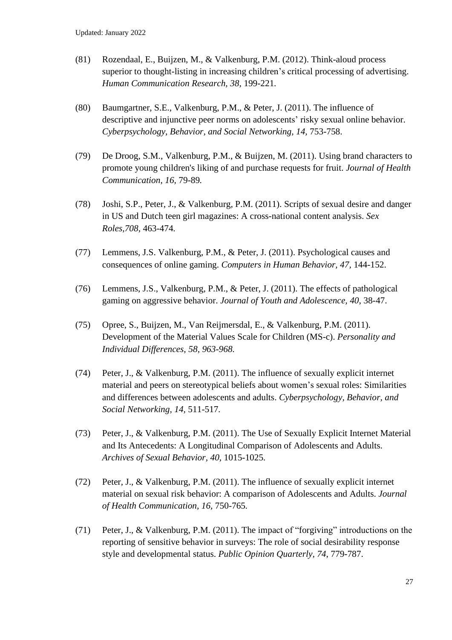- (81) Rozendaal, E., Buijzen, M., & Valkenburg, P.M. (2012). Think-aloud process superior to thought-listing in increasing children's critical processing of advertising. *Human Communication Research, 38,* 199-221*.*
- (80) Baumgartner, S.E., Valkenburg, P.M., & Peter, J. (2011). The influence of descriptive and injunctive peer norms on adolescents' risky sexual online behavior. *Cyberpsychology, Behavior, and Social Networking, 14,* 753-758.
- (79) De Droog, S.M., Valkenburg, P.M., & Buijzen, M. (2011). Using brand characters to promote young children's liking of and purchase requests for fruit. *Journal of Health Communication, 16,* 79-89*.*
- (78) Joshi, S.P., Peter, J., & Valkenburg, P.M. (2011). Scripts of sexual desire and danger in US and Dutch teen girl magazines: A cross-national content analysis. *Sex Roles,708,* 463-474*.*
- (77) Lemmens, J.S. Valkenburg, P.M., & Peter, J. (2011). Psychological causes and consequences of online gaming. *Computers in Human Behavior, 47,* 144-152.
- (76) Lemmens, J.S., Valkenburg, P.M., & Peter, J. (2011). The effects of pathological gaming on aggressive behavior. *Journal of Youth and Adolescence, 40*, 38-47.
- (75) Opree, S., Buijzen, M., Van Reijmersdal, E., & Valkenburg, P.M. (2011). Development of the Material Values Scale for Children (MS-c). *Personality and Individual Differences, 58, 963-968.*
- (74) Peter, J., & Valkenburg, P.M. (2011). The influence of sexually explicit internet material and peers on stereotypical beliefs about women's sexual roles: Similarities and differences between adolescents and adults. *Cyberpsychology, Behavior, and Social Networking, 14,* 511-517*.*
- (73) Peter, J., & Valkenburg, P.M. (2011). The Use of Sexually Explicit Internet Material and Its Antecedents: A Longitudinal Comparison of Adolescents and Adults. *Archives of Sexual Behavior, 40,* 1015-1025*.*
- (72) Peter, J., & Valkenburg, P.M. (2011). The influence of sexually explicit internet material on sexual risk behavior: A comparison of Adolescents and Adults. *Journal of Health Communication, 16,* 750-765*.*
- (71) Peter, J., & Valkenburg, P.M. (2011). The impact of "forgiving" introductions on the reporting of sensitive behavior in surveys: The role of social desirability response style and developmental status. *Public Opinion Quarterly, 74*, 779-787.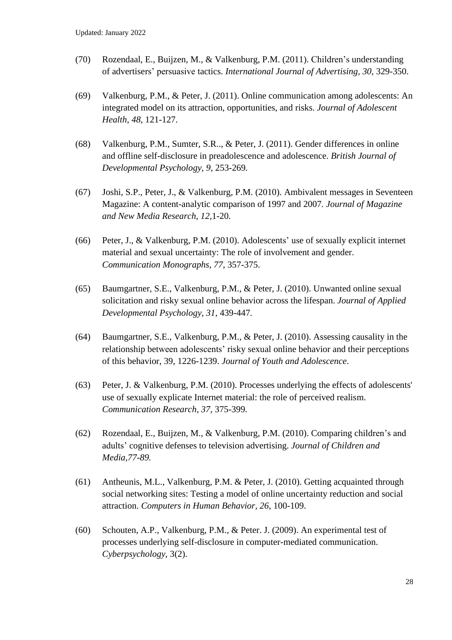- (70) Rozendaal, E., Buijzen, M., & Valkenburg, P.M. (2011). Children's understanding of advertisers' persuasive tactics. *International Journal of Advertising, 30,* 329-350.
- (69) Valkenburg, P.M., & Peter, J. (2011). Online communication among adolescents: An integrated model on its attraction, opportunities, and risks. *Journal of Adolescent Health, 48,* 121-127.
- (68) Valkenburg, P.M., Sumter, S.R.., & Peter, J. (2011). Gender differences in online and offline self-disclosure in preadolescence and adolescence. *British Journal of Developmental Psychology, 9,* 253-269*.*
- (67) Joshi, S.P., Peter, J., & Valkenburg, P.M. (2010). Ambivalent messages in Seventeen Magazine: A content-analytic comparison of 1997 and 2007*. Journal of Magazine and New Media Research, 12,*1-20*.*
- (66) Peter, J., & Valkenburg, P.M. (2010). Adolescents' use of sexually explicit internet material and sexual uncertainty: The role of involvement and gender. *Communication Monographs, 77*, 357-375.
- (65) Baumgartner, S.E., Valkenburg, P.M., & Peter, J. (2010). Unwanted online sexual solicitation and risky sexual online behavior across the lifespan. *Journal of Applied Developmental Psychology, 31,* 439-447*.*
- (64) Baumgartner, S.E., Valkenburg, P.M., & Peter, J. (2010). Assessing causality in the relationship between adolescents' risky sexual online behavior and their perceptions of this behavior, 39, 1226-1239. *Journal of Youth and Adolescence*.
- (63) Peter, J. & Valkenburg, P.M. (2010). Processes underlying the effects of adolescents' use of sexually explicate Internet material: the role of perceived realism. *Communication Research, 37,* 375-399*.*
- (62) Rozendaal, E., Buijzen, M., & Valkenburg, P.M. (2010). Comparing children's and adults' cognitive defenses to television advertising. *Journal of Children and Media,77-89.*
- (61) Antheunis, M.L., Valkenburg, P.M. & Peter, J. (2010). Getting acquainted through social networking sites: Testing a model of online uncertainty reduction and social attraction. *Computers in Human Behavior, 26*, 100-109.
- (60) Schouten, A.P., Valkenburg, P.M., & Peter. J. (2009). An experimental test of processes underlying self-disclosure in computer-mediated communication. *Cyberpsychology*, 3(2).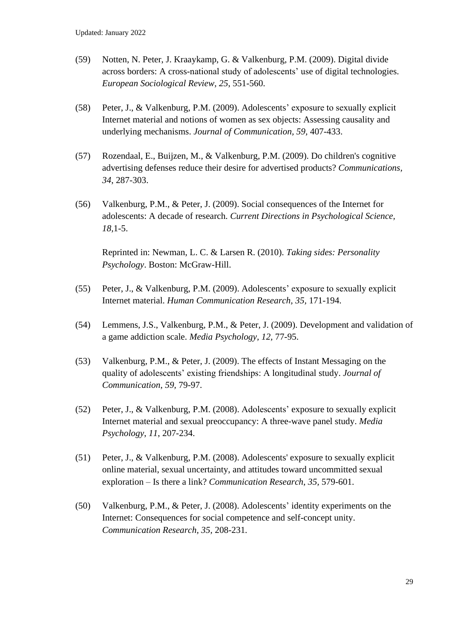- (59) Notten, N. Peter, J. Kraaykamp, G. & Valkenburg, P.M. (2009). Digital divide across borders: A cross-national study of adolescents' use of digital technologies. *European Sociological Review, 25*, 551-560.
- (58) Peter, J., & Valkenburg, P.M. (2009). Adolescents' exposure to sexually explicit Internet material and notions of women as sex objects: Assessing causality and underlying mechanisms. *Journal of Communication, 59,* 407-433.
- (57) Rozendaal, E., Buijzen, M., & Valkenburg, P.M. (2009). Do children's cognitive advertising defenses reduce their desire for advertised products? *Communications, 34*, 287-303.
- (56) Valkenburg, P.M., & Peter, J. (2009). Social consequences of the Internet for adolescents: A decade of research. *Current Directions in Psychological Science, 18,*1-5.

Reprinted in: Newman, L. C. & Larsen R. (2010). *Taking sides: Personality Psychology*. Boston: McGraw-Hill.

- (55) Peter, J., & Valkenburg, P.M. (2009). Adolescents' exposure to sexually explicit Internet material. *Human Communication Research, 35,* 171-194.
- (54) Lemmens, J.S., Valkenburg, P.M., & Peter, J. (2009). Development and validation of a game addiction scale. *Media Psychology, 12,* 77-95.
- (53) Valkenburg, P.M., & Peter, J. (2009). The effects of Instant Messaging on the quality of adolescents' existing friendships: A longitudinal study. *Journal of Communication*, *59,* 79-97.
- (52) Peter, J., & Valkenburg, P.M. (2008). Adolescents' exposure to sexually explicit Internet material and sexual preoccupancy: A three-wave panel study. *Media Psychology*, *11*, 207-234.
- (51) Peter, J., & Valkenburg, P.M. (2008). Adolescents' exposure to sexually explicit online material, sexual uncertainty, and attitudes toward uncommitted sexual exploration – Is there a link? *Communication Research*, *35,* 579-601.
- (50) Valkenburg, P.M., & Peter, J. (2008). Adolescents' identity experiments on the Internet: Consequences for social competence and self-concept unity. *Communication Research, 35,* 208-231*.*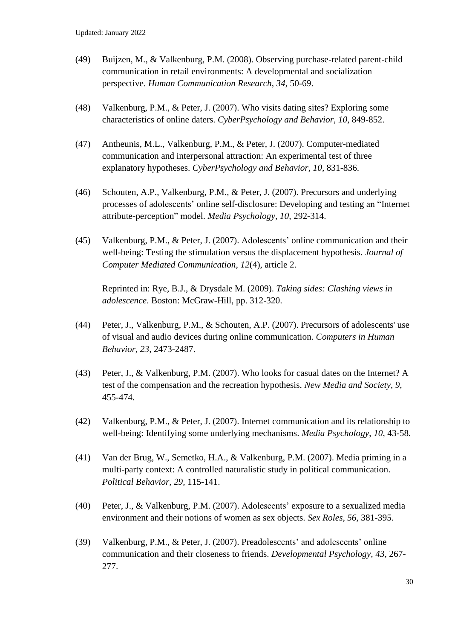- (49) Buijzen, M., & Valkenburg, P.M. (2008). Observing purchase-related parent-child communication in retail environments: A developmental and socialization perspective. *Human Communication Research*, *34*, 50-69.
- (48) Valkenburg, P.M., & Peter, J. (2007). Who visits dating sites? Exploring some characteristics of online daters. *CyberPsychology and Behavior, 10,* 849-852.
- (47) Antheunis, M.L., Valkenburg, P.M., & Peter, J. (2007). Computer-mediated communication and interpersonal attraction: An experimental test of three explanatory hypotheses. *CyberPsychology and Behavior, 10,* 831-836.
- (46) Schouten, A.P., Valkenburg, P.M., & Peter, J. (2007). Precursors and underlying processes of adolescents' online self-disclosure: Developing and testing an "Internet attribute-perception" model. *Media Psychology, 10,* 292-314.
- (45) Valkenburg, P.M., & Peter, J. (2007). Adolescents' online communication and their well-being: Testing the stimulation versus the displacement hypothesis. *Journal of Computer Mediated Communication, 12*(4), article 2.

Reprinted in: Rye, B.J., & Drysdale M. (2009). *Taking sides: Clashing views in adolescence*. Boston: McGraw-Hill, pp. 312-320.

- (44) Peter, J., Valkenburg, P.M., & Schouten, A.P. (2007). Precursors of adolescents' use of visual and audio devices during online communication. *Computers in Human Behavior, 23,* 2473-2487.
- (43) Peter, J., & Valkenburg, P.M. (2007). Who looks for casual dates on the Internet? A test of the compensation and the recreation hypothesis. *New Media and Society*, *9*, 455-474*.*
- (42) Valkenburg, P.M., & Peter, J. (2007). Internet communication and its relationship to well-being: Identifying some underlying mechanisms. *Media Psychology*, *10*, 43-58*.*
- (41) Van der Brug, W., Semetko, H.A., & Valkenburg, P.M. (2007). Media priming in a multi-party context: A controlled naturalistic study in political communication. *Political Behavior, 29,* 115-141.
- (40) Peter, J., & Valkenburg, P.M. (2007). Adolescents' exposure to a sexualized media environment and their notions of women as sex objects. *Sex Roles, 56,* 381-395.
- (39) Valkenburg, P.M., & Peter, J. (2007). Preadolescents' and adolescents' online communication and their closeness to friends. *Developmental Psychology, 43,* 267- 277.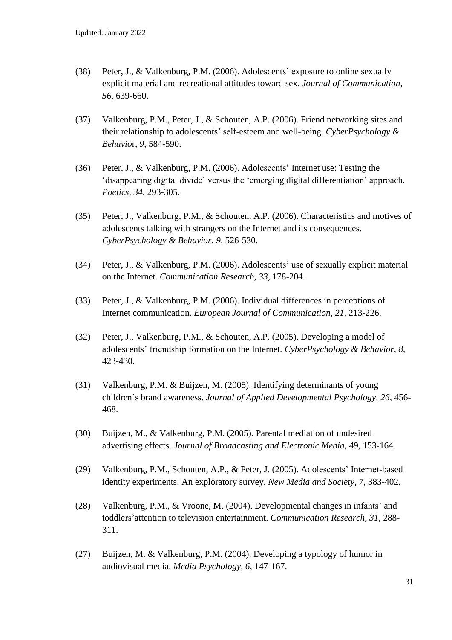- (38) Peter, J., & Valkenburg, P.M. (2006). Adolescents' exposure to online sexually explicit material and recreational attitudes toward sex. *Journal of Communication, 56,* 639-660.
- (37) Valkenburg, P.M., Peter, J., & Schouten, A.P. (2006). Friend networking sites and their relationship to adolescents' self-esteem and well-being. *CyberPsychology & Behavio*r, *9*, 584-590.
- (36) Peter, J., & Valkenburg, P.M. (2006). Adolescents' Internet use: Testing the 'disappearing digital divide' versus the 'emerging digital differentiation' approach. *Poetics, 34,* 293-305*.*
- (35) Peter, J., Valkenburg, P.M., & Schouten, A.P. (2006). Characteristics and motives of adolescents talking with strangers on the Internet and its consequences. *CyberPsychology & Behavior*, *9,* 526-530.
- (34) Peter, J., & Valkenburg, P.M. (2006). Adolescents' use of sexually explicit material on the Internet. *Communication Research*, *33,* 178-204.
- (33) Peter, J., & Valkenburg, P.M. (2006). Individual differences in perceptions of Internet communication. *European Journal of Communication, 21,* 213-226.
- (32) Peter, J., Valkenburg, P.M., & Schouten, A.P. (2005). Developing a model of adolescents' friendship formation on the Internet. *CyberPsychology & Behavior*, *8*, 423-430.
- (31) Valkenburg, P.M. & Buijzen, M. (2005). Identifying determinants of young children's brand awareness. *Journal of Applied Developmental Psychology, 26,* 456- 468.
- (30) Buijzen, M., & Valkenburg, P.M. (2005). Parental mediation of undesired advertising effects. *Journal of Broadcasting and Electronic Media,* 49, 153-164.
- (29) Valkenburg, P.M., Schouten, A.P., & Peter, J. (2005). Adolescents' Internet-based identity experiments: An exploratory survey. *New Media and Society, 7,* 383-402*.*
- (28) Valkenburg, P.M., & Vroone, M. (2004). Developmental changes in infants' and toddlers'attention to television entertainment. *Communication Research, 31,* 288- 311.
- (27) Buijzen, M. & Valkenburg, P.M. (2004). Developing a typology of humor in audiovisual media. *Media Psychology, 6,* 147-167.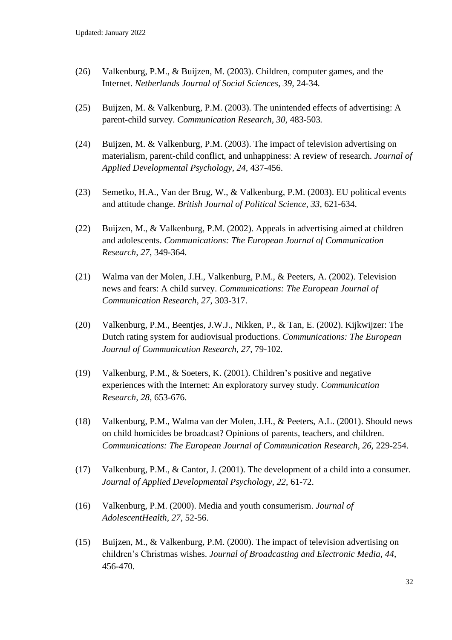- (26) Valkenburg, P.M., & Buijzen, M. (2003). Children, computer games, and the Internet. *Netherlands Journal of Social Sciences, 39,* 24-34*.*
- (25) Buijzen, M. & Valkenburg, P.M. (2003). The unintended effects of advertising: A parent-child survey. *Communication Research, 30,* 483-503*.*
- (24) Buijzen, M. & Valkenburg, P.M. (2003). The impact of television advertising on materialism, parent-child conflict, and unhappiness: A review of research. *Journal of Applied Developmental Psychology, 24,* 437-456.
- (23) Semetko, H.A., Van der Brug, W., & Valkenburg, P.M. (2003). EU political events and attitude change. *British Journal of Political Science, 33,* 621-634.
- (22) Buijzen, M., & Valkenburg, P.M. (2002). Appeals in advertising aimed at children and adolescents. *Communications: The European Journal of Communication Research, 27*, 349-364.
- (21) Walma van der Molen, J.H., Valkenburg, P.M., & Peeters, A. (2002). Television news and fears: A child survey. *Communications: The European Journal of Communication Research, 27*, 303-317.
- (20) Valkenburg, P.M., Beentjes, J.W.J., Nikken, P., & Tan, E. (2002). Kijkwijzer: The Dutch rating system for audiovisual productions. *Communications: The European Journal of Communication Research, 27*, 79-102.
- (19) Valkenburg, P.M., & Soeters, K. (2001). Children's positive and negative experiences with the Internet: An exploratory survey study. *Communication Research, 28*, 653-676.
- (18) Valkenburg, P.M., Walma van der Molen, J.H., & Peeters, A.L. (2001). Should news on child homicides be broadcast? Opinions of parents, teachers, and children. *Communications: The European Journal of Communication Research, 26*, 229-254.
- (17) Valkenburg, P.M., & Cantor, J. (2001). The development of a child into a consumer. *Journal of Applied Developmental Psychology, 22*, 61-72.
- (16) Valkenburg, P.M. (2000). Media and youth consumerism. *Journal of AdolescentHealth, 27*, 52-56.
- (15) Buijzen, M., & Valkenburg, P.M. (2000). The impact of television advertising on children's Christmas wishes. *Journal of Broadcasting and Electronic Media, 44*, 456-470.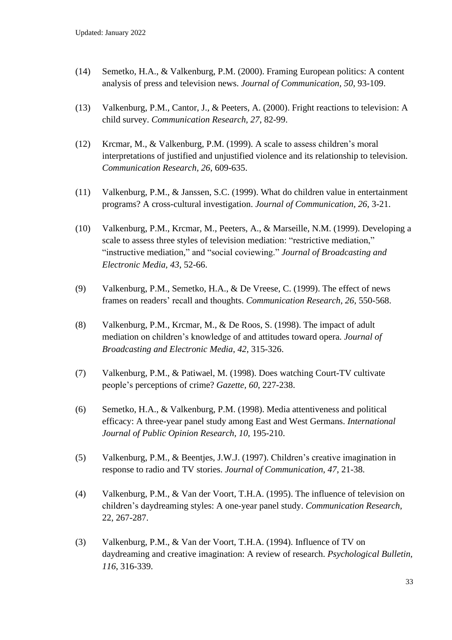- (14) Semetko, H.A., & Valkenburg, P.M. (2000). Framing European politics: A content analysis of press and television news. *Journal of Communication, 50*, 93-109.
- (13) Valkenburg, P.M., Cantor, J., & Peeters, A. (2000). Fright reactions to television: A child survey. *Communication Research, 27*, 82-99.
- (12) Krcmar, M., & Valkenburg, P.M. (1999). A scale to assess children's moral interpretations of justified and unjustified violence and its relationship to television. *Communication Research, 26*, 609-635.
- (11) Valkenburg, P.M., & Janssen, S.C. (1999). What do children value in entertainment programs? A cross-cultural investigation. *Journal of Communication, 26*, 3-21.
- (10) Valkenburg, P.M., Krcmar, M., Peeters, A., & Marseille, N.M. (1999). Developing a scale to assess three styles of television mediation: "restrictive mediation," "instructive mediation," and "social coviewing." *Journal of Broadcasting and Electronic Media, 43*, 52-66.
- (9) Valkenburg, P.M., Semetko, H.A., & De Vreese, C. (1999). The effect of news frames on readers' recall and thoughts. *Communication Research, 26*, 550-568.
- (8) Valkenburg, P.M., Krcmar, M., & De Roos, S. (1998). The impact of adult mediation on children's knowledge of and attitudes toward opera. *Journal of Broadcasting and Electronic Media, 42*, 315-326.
- (7) Valkenburg, P.M., & Patiwael, M. (1998). Does watching Court-TV cultivate people's perceptions of crime? *Gazette, 60*, 227-238.
- (6) Semetko, H.A., & Valkenburg, P.M. (1998). Media attentiveness and political efficacy: A three-year panel study among East and West Germans. *International Journal of Public Opinion Research, 10*, 195-210.
- (5) Valkenburg, P.M., & Beentjes, J.W.J. (1997). Children's creative imagination in response to radio and TV stories. *Journal of Communication, 47*, 21-38.
- (4) Valkenburg, P.M., & Van der Voort, T.H.A. (1995). The influence of television on children's daydreaming styles: A one-year panel study. *Communication Research,* 22, 267-287.
- (3) Valkenburg, P.M., & Van der Voort, T.H.A. (1994). Influence of TV on daydreaming and creative imagination: A review of research. *Psychological Bulletin, 116*, 316-339.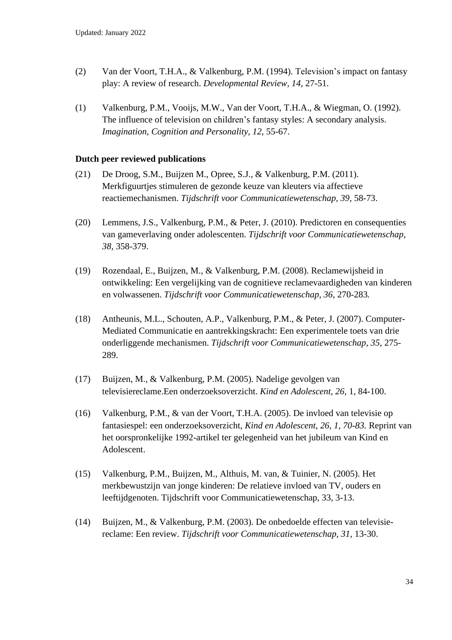- (2) Van der Voort, T.H.A., & Valkenburg, P.M. (1994). Television's impact on fantasy play: A review of research. *Developmental Review, 14*, 27-51.
- (1) Valkenburg, P.M., Vooijs, M.W., Van der Voort, T.H.A., & Wiegman, O. (1992). The influence of television on children's fantasy styles: A secondary analysis. *Imagination, Cognition and Personality, 12*, 55-67.

### **Dutch peer reviewed publications**

- (21) De Droog, S.M., Buijzen M., Opree, S.J., & Valkenburg, P.M. (2011). Merkfiguurtjes stimuleren de gezonde keuze van kleuters via affectieve reactiemechanismen. *Tijdschrift voor Communicatiewetenschap, 39*, 58-73.
- (20) Lemmens, J.S., Valkenburg, P.M., & Peter, J. (2010). Predictoren en consequenties van gameverlaving onder adolescenten. *Tijdschrift voor Communicatiewetenschap, 38,* 358-379.
- (19) Rozendaal, E., Buijzen, M., & Valkenburg, P.M. (2008). Reclamewijsheid in ontwikkeling: Een vergelijking van de cognitieve reclamevaardigheden van kinderen en volwassenen. *Tijdschrift voor Communicatiewetenschap, 36,* 270-283*.*
- (18) Antheunis, M.L., Schouten, A.P., Valkenburg, P.M., & Peter, J. (2007). Computer-Mediated Communicatie en aantrekkingskracht: Een experimentele toets van drie onderliggende mechanismen. *Tijdschrift voor Communicatiewetenschap, 35,* 275- 289.
- (17) Buijzen, M., & Valkenburg, P.M. (2005). Nadelige gevolgen van televisiereclame.Een onderzoeksoverzicht. *Kind en Adolescent, 26*, 1, 84-100.
- (16) Valkenburg, P.M., & van der Voort, T.H.A. (2005). De invloed van televisie op fantasiespel: een onderzoeksoverzicht, *Kind en Adolescent, 26, 1, 70-83.* Reprint van het oorspronkelijke 1992-artikel ter gelegenheid van het jubileum van Kind en Adolescent.
- (15) Valkenburg, P.M., Buijzen, M., Althuis, M. van, & Tuinier, N. (2005). Het merkbewustzijn van jonge kinderen: De relatieve invloed van TV, ouders en leeftijdgenoten. Tijdschrift voor Communicatiewetenschap, 33, 3-13.
- (14) Buijzen, M., & Valkenburg, P.M. (2003). De onbedoelde effecten van televisiereclame: Een review. *Tijdschrift voor Communicatiewetenschap, 31*, 13-30.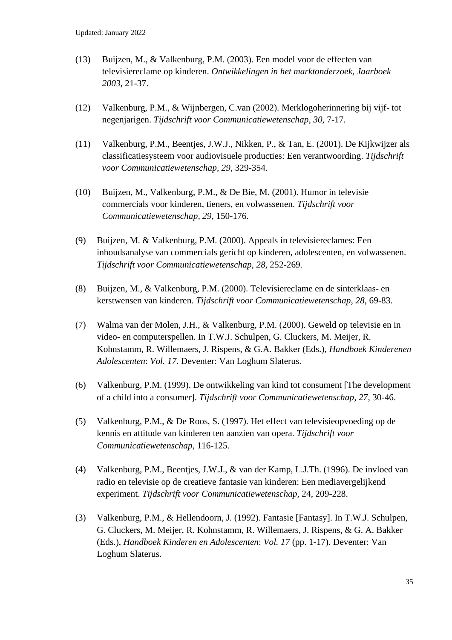- (13) Buijzen, M., & Valkenburg, P.M. (2003). Een model voor de effecten van televisiereclame op kinderen. *Ontwikkelingen in het marktonderzoek, Jaarboek 2003*, 21-37.
- (12) Valkenburg, P.M., & Wijnbergen, C.van (2002). Merklogoherinnering bij vijf- tot negenjarigen. *Tijdschrift voor Communicatiewetenschap, 30,* 7-17*.*
- (11) Valkenburg, P.M., Beentjes, J.W.J., Nikken, P., & Tan, E. (2001). De Kijkwijzer als classificatiesysteem voor audiovisuele producties: Een verantwoording. *Tijdschrift voor Communicatiewetenschap, 29*, 329-354.
- (10) Buijzen, M., Valkenburg, P.M., & De Bie, M. (2001). Humor in televisie commercials voor kinderen, tieners, en volwassenen. *Tijdschrift voor Communicatiewetenschap, 29,* 150-176.
- (9) Buijzen, M. & Valkenburg, P.M. (2000). Appeals in televisiereclames: Een inhoudsanalyse van commercials gericht op kinderen, adolescenten, en volwassenen. *Tijdschrift voor Communicatiewetenschap, 28,* 252-269*.*
- (8) Buijzen, M., & Valkenburg, P.M. (2000). Televisiereclame en de sinterklaas- en kerstwensen van kinderen. *Tijdschrift voor Communicatiewetenschap*, *28*, 69-83.
- (7) Walma van der Molen, J.H., & Valkenburg, P.M. (2000). Geweld op televisie en in video- en computerspellen. In T.W.J. Schulpen, G. Cluckers, M. Meijer, R. Kohnstamm, R. Willemaers, J. Rispens, & G.A. Bakker (Eds.), *Handboek Kinderenen Adolescenten*: *Vol. 17*. Deventer: Van Loghum Slaterus.
- (6) Valkenburg, P.M. (1999). De ontwikkeling van kind tot consument [The development of a child into a consumer]. *Tijdschrift voor Communicatiewetenschap, 27*, 30-46.
- (5) Valkenburg, P.M., & De Roos, S. (1997). Het effect van televisieopvoeding op de kennis en attitude van kinderen ten aanzien van opera. *Tijdschrift voor Communicatiewetenschap*, 116-125*.*
- (4) Valkenburg, P.M., Beentjes, J.W.J., & van der Kamp, L.J.Th. (1996). De invloed van radio en televisie op de creatieve fantasie van kinderen: Een mediavergelijkend experiment. *Tijdschrift voor Communicatiewetenschap*, 24, 209-228.
- (3) Valkenburg, P.M., & Hellendoorn, J. (1992). Fantasie [Fantasy]. In T.W.J. Schulpen, G. Cluckers, M. Meijer, R. Kohnstamm, R. Willemaers, J. Rispens, & G. A. Bakker (Eds.), *Handboek Kinderen en Adolescenten*: *Vol. 17* (pp. 1-17). Deventer: Van Loghum Slaterus.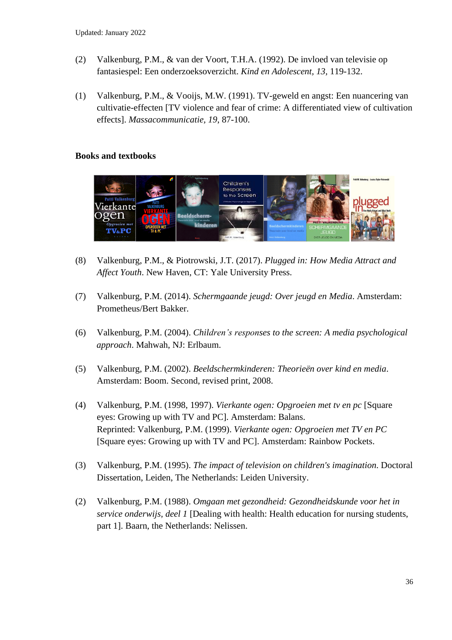- (2) Valkenburg, P.M., & van der Voort, T.H.A. (1992). De invloed van televisie op fantasiespel: Een onderzoeksoverzicht. *Kind en Adolescent, 13,* 119-132.
- (1) Valkenburg, P.M., & Vooijs, M.W. (1991). TV-geweld en angst: Een nuancering van cultivatie-effecten [TV violence and fear of crime: A differentiated view of cultivation effects]. *Massacommunicatie, 19*, 87-100.

## **Books and textbooks**



- (8) Valkenburg, P.M., & Piotrowski, J.T. (2017). *Plugged in: How Media Attract and Affect Youth*. New Haven, CT: Yale University Press.
- (7) Valkenburg, P.M. (2014). *Schermgaande jeugd: Over jeugd en Media*. Amsterdam: Prometheus/Bert Bakker.
- (6) Valkenburg, P.M. (2004). *Children's responses to the screen: A media psychological approach*. Mahwah, NJ: Erlbaum.
- (5) Valkenburg, P.M. (2002). *Beeldschermkinderen: Theorieën over kind en media*. Amsterdam: Boom. Second, revised print, 2008.
- (4) Valkenburg, P.M. (1998, 1997). *Vierkante ogen: Opgroeien met tv en pc* [Square eyes: Growing up with TV and PC]. Amsterdam: Balans. Reprinted: Valkenburg, P.M. (1999). *Vierkante ogen: Opgroeien met TV en PC* [Square eyes: Growing up with TV and PC]. Amsterdam: Rainbow Pockets.
- (3) Valkenburg, P.M. (1995). *The impact of television on children's imagination*. Doctoral Dissertation, Leiden, The Netherlands: Leiden University.
- (2) Valkenburg, P.M. (1988). *Omgaan met gezondheid: Gezondheidskunde voor het in service onderwijs, deel 1* [Dealing with health: Health education for nursing students, part 1]. Baarn, the Netherlands: Nelissen.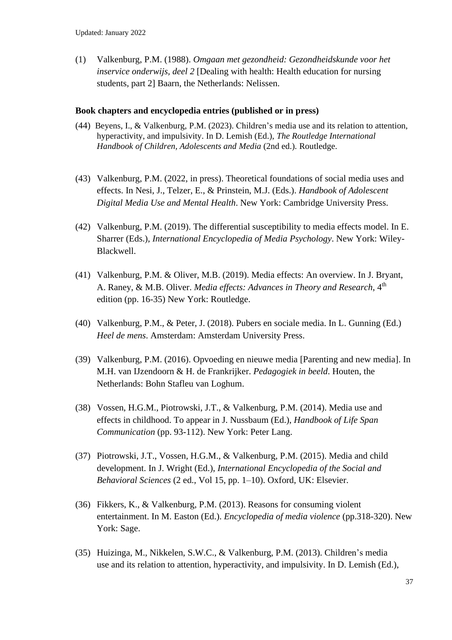(1) Valkenburg, P.M. (1988). *Omgaan met gezondheid: Gezondheidskunde voor het inservice onderwijs, deel 2* [Dealing with health: Health education for nursing students, part 2] Baarn, the Netherlands: Nelissen.

#### **Book chapters and encyclopedia entries (published or in press)**

- (44) Beyens, I., & Valkenburg, P.M. (2023). Children's media use and its relation to attention, hyperactivity, and impulsivity. In D. Lemish (Ed.), *The Routledge International Handbook of Children, Adolescents and Media* (2nd ed.)*.* Routledge.
- (43) Valkenburg, P.M. (2022, in press). Theoretical foundations of social media uses and effects. In Nesi, J., Telzer, E., & Prinstein, M.J. (Eds.). *Handbook of Adolescent Digital Media Use and Mental Health*. New York: Cambridge University Press.
- (42) Valkenburg, P.M. (2019). The differential susceptibility to media effects model. In E. Sharrer (Eds.), *International Encyclopedia of Media Psychology*. New York: Wiley-Blackwell.
- (41) Valkenburg, P.M. & Oliver, M.B. (2019). Media effects: An overview. In J. Bryant, A. Raney, & M.B. Oliver. *Media effects: Advances in Theory and Research*, 4th edition (pp. 16-35) New York: Routledge.
- (40) Valkenburg, P.M., & Peter, J. (2018). Pubers en sociale media. In L. Gunning (Ed.) *Heel de mens*. Amsterdam: Amsterdam University Press.
- (39) Valkenburg, P.M. (2016). Opvoeding en nieuwe media [Parenting and new media]. In M.H. van IJzendoorn & H. de Frankrijker. *Pedagogiek in beeld*. Houten, the Netherlands: Bohn Stafleu van Loghum.
- (38) Vossen, H.G.M., Piotrowski, J.T., & Valkenburg, P.M. (2014). Media use and effects in childhood. To appear in J. Nussbaum (Ed.), *Handbook of Life Span Communication* (pp. 93-112). New York: Peter Lang.
- (37) Piotrowski, J.T., Vossen, H.G.M., & Valkenburg, P.M. (2015). Media and child development. In J. Wright (Ed.), *International Encyclopedia of the Social and Behavioral Sciences* (2 ed., Vol 15, pp. 1–10). Oxford, UK: Elsevier.
- (36) Fikkers, K., & Valkenburg, P.M. (2013). Reasons for consuming violent entertainment. In M. Easton (Ed.). *Encyclopedia of media violence* (pp.318-320). New York: Sage.
- (35) Huizinga, M., Nikkelen, S.W.C., & Valkenburg, P.M. (2013). Children's media use and its relation to attention, hyperactivity, and impulsivity. In D. Lemish (Ed.),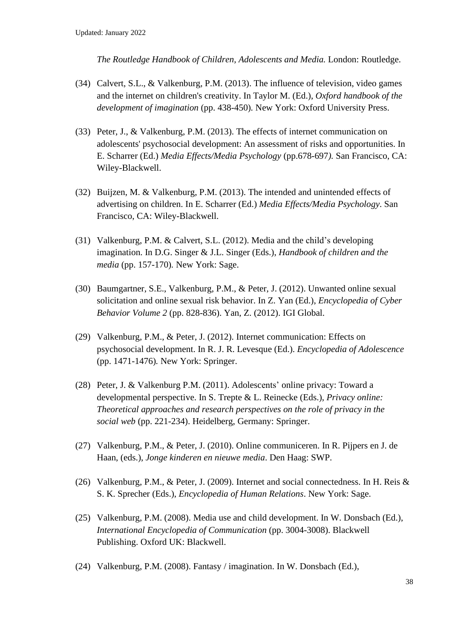*The Routledge Handbook of Children, Adolescents and Media.* London: Routledge.

- (34) Calvert, S.L., & Valkenburg, P.M. (2013). The influence of television, video games and the internet on children's creativity. In Taylor M. (Ed.), *Oxford handbook of the development of imagination* (pp. 438-450)*.* New York: Oxford University Press.
- (33) Peter, J., & Valkenburg, P.M. (2013). The effects of internet communication on adolescents' psychosocial development: An assessment of risks and opportunities. In E. Scharrer (Ed.) *Media Effects/Media Psychology* (pp.678-697*).* San Francisco, CA: Wiley-Blackwell.
- (32) Buijzen, M. & Valkenburg, P.M. (2013). The intended and unintended effects of advertising on children. In E. Scharrer (Ed.) *Media Effects/Media Psychology*. San Francisco, CA: Wiley-Blackwell.
- (31) Valkenburg, P.M. & Calvert, S.L. (2012). Media and the child's developing imagination. In D.G. Singer & J.L. Singer (Eds.), *Handbook of children and the media* (pp. 157-170)*.* New York: Sage.
- (30) Baumgartner, S.E., Valkenburg, P.M., & Peter, J. (2012). Unwanted online sexual solicitation and online sexual risk behavior. In Z. Yan (Ed.), *Encyclopedia of Cyber Behavior Volume 2* (pp. 828-836). Yan, Z. (2012). IGI Global.
- (29) Valkenburg, P.M., & Peter, J. (2012). Internet communication: Effects on psychosocial development. In R. J. R. Levesque (Ed.). *Encyclopedia of Adolescence* (pp. 1471-1476)*.* New York: Springer.
- (28) Peter, J. & Valkenburg P.M. (2011). Adolescents' online privacy: Toward a developmental perspective. In S. Trepte & L. Reinecke (Eds.), *Privacy online: Theoretical approaches and research perspectives on the role of privacy in the social web* (pp. 221-234). Heidelberg, Germany: Springer.
- (27) Valkenburg, P.M., & Peter, J. (2010). Online communiceren. In R. Pijpers en J. de Haan, (eds.), *Jonge kinderen en nieuwe media*. Den Haag: SWP.
- (26) Valkenburg, P.M., & Peter, J. (2009). Internet and social connectedness. In H. Reis & S. K. Sprecher (Eds.), *Encyclopedia of Human Relations*. New York: Sage.
- (25) Valkenburg, P.M. (2008). Media use and child development. In W. Donsbach (Ed.), *International Encyclopedia of Communication* (pp. 3004-3008). Blackwell Publishing. Oxford UK: Blackwell.
- (24) Valkenburg, P.M. (2008). Fantasy / imagination. In W. Donsbach (Ed.),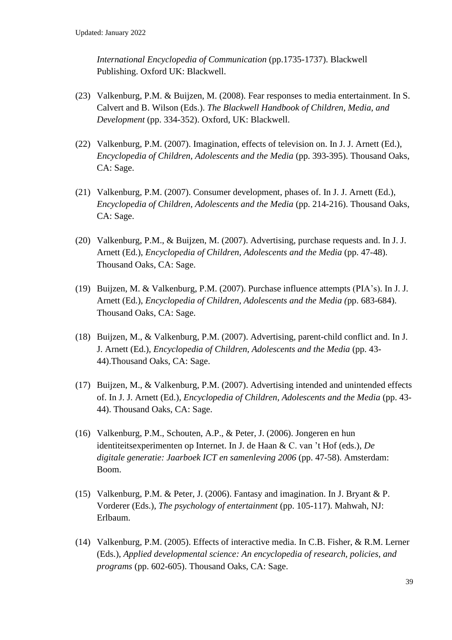*International Encyclopedia of Communication* (pp.1735-1737). Blackwell Publishing. Oxford UK: Blackwell.

- (23) Valkenburg, P.M. & Buijzen, M. (2008). Fear responses to media entertainment. In S. Calvert and B. Wilson (Eds.). *The Blackwell Handbook of Children, Media, and Development* (pp. 334-352). Oxford, UK: Blackwell.
- (22) Valkenburg, P.M. (2007). Imagination, effects of television on. In J. J. Arnett (Ed.), *Encyclopedia of Children, Adolescents and the Media* (pp. 393-395). Thousand Oaks, CA: Sage.
- (21) Valkenburg, P.M. (2007). Consumer development, phases of. In J. J. Arnett (Ed.), *Encyclopedia of Children, Adolescents and the Media* (pp. 214-216). Thousand Oaks, CA: Sage.
- (20) Valkenburg, P.M., & Buijzen, M. (2007). Advertising, purchase requests and. In J. J. Arnett (Ed.), *Encyclopedia of Children, Adolescents and the Media* (pp. 47-48). Thousand Oaks, CA: Sage.
- (19) Buijzen, M. & Valkenburg, P.M. (2007). Purchase influence attempts (PIA's). In J. J. Arnett (Ed.), *Encyclopedia of Children, Adolescents and the Media (*pp. 683-684). Thousand Oaks, CA: Sage.
- (18) Buijzen, M., & Valkenburg, P.M. (2007). Advertising, parent-child conflict and. In J. J. Arnett (Ed.), *Encyclopedia of Children, Adolescents and the Media* (pp. 43- 44).Thousand Oaks, CA: Sage.
- (17) Buijzen, M., & Valkenburg, P.M. (2007). Advertising intended and unintended effects of. In J. J. Arnett (Ed.), *Encyclopedia of Children, Adolescents and the Media* (pp. 43- 44). Thousand Oaks, CA: Sage.
- (16) Valkenburg, P.M., Schouten, A.P., & Peter, J. (2006). Jongeren en hun identiteitsexperimenten op Internet. In J. de Haan & C. van 't Hof (eds.), *De digitale generatie: Jaarboek ICT en samenleving 2006* (pp. 47-58). Amsterdam: Boom.
- (15) Valkenburg, P.M. & Peter, J. (2006). Fantasy and imagination. In J. Bryant & P. Vorderer (Eds.), *The psychology of entertainment* (pp. 105-117). Mahwah, NJ: Erlbaum.
- (14) Valkenburg, P.M. (2005). Effects of interactive media. In C.B. Fisher, & R.M. Lerner (Eds.), *Applied developmental science: An encyclopedia of research, policies, and programs* (pp. 602-605). Thousand Oaks, CA: Sage.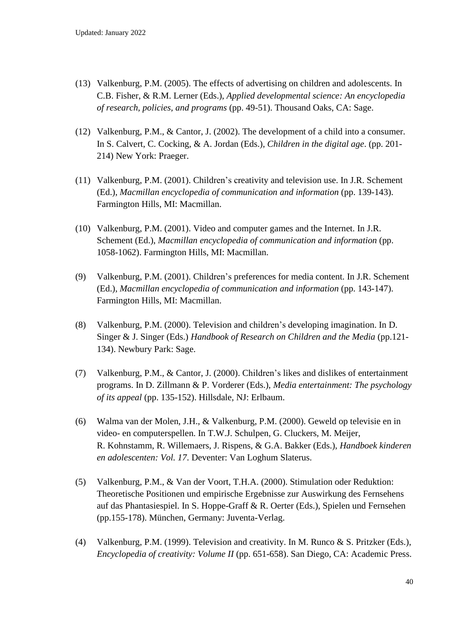- (13) Valkenburg, P.M. (2005). The effects of advertising on children and adolescents. In C.B. Fisher, & R.M. Lerner (Eds.), *Applied developmental science: An encyclopedia of research, policies, and programs* (pp. 49-51). Thousand Oaks, CA: Sage.
- (12) Valkenburg, P.M., & Cantor, J. (2002). The development of a child into a consumer. In S. Calvert, C. Cocking, & A. Jordan (Eds.), *Children in the digital age*. (pp. 201- 214) New York: Praeger.
- (11) Valkenburg, P.M. (2001). Children's creativity and television use. In J.R. Schement (Ed.), *Macmillan encyclopedia of communication and information* (pp. 139-143). Farmington Hills, MI: Macmillan.
- (10) Valkenburg, P.M. (2001). Video and computer games and the Internet. In J.R. Schement (Ed.), *Macmillan encyclopedia of communication and information* (pp. 1058-1062). Farmington Hills, MI: Macmillan.
- (9) Valkenburg, P.M. (2001). Children's preferences for media content. In J.R. Schement (Ed.), *Macmillan encyclopedia of communication and information* (pp. 143-147). Farmington Hills, MI: Macmillan.
- (8) Valkenburg, P.M. (2000). Television and children's developing imagination. In D. Singer & J. Singer (Eds.) *Handbook of Research on Children and the Media* (pp.121- 134). Newbury Park: Sage.
- (7) Valkenburg, P.M., & Cantor, J. (2000). Children's likes and dislikes of entertainment programs. In D. Zillmann & P. Vorderer (Eds.), *Media entertainment: The psychology of its appeal* (pp. 135-152). Hillsdale, NJ: Erlbaum.
- (6) Walma van der Molen, J.H., & Valkenburg, P.M. (2000). Geweld op televisie en in video- en computerspellen. In T.W.J. Schulpen, G. Cluckers, M. Meijer, R. Kohnstamm, R. Willemaers, J. Rispens, & G.A. Bakker (Eds.), *Handboek kinderen en adolescenten: Vol. 17*. Deventer: Van Loghum Slaterus.
- (5) Valkenburg, P.M., & Van der Voort, T.H.A. (2000). Stimulation oder Reduktion: Theoretische Positionen und empirische Ergebnisse zur Auswirkung des Fernsehens auf das Phantasiespiel. In S. Hoppe-Graff & R. Oerter (Eds.), Spielen und Fernsehen (pp.155-178). München, Germany: Juventa-Verlag.
- (4) Valkenburg, P.M. (1999). Television and creativity. In M. Runco & S. Pritzker (Eds.), *Encyclopedia of creativity: Volume II* (pp. 651-658). San Diego, CA: Academic Press.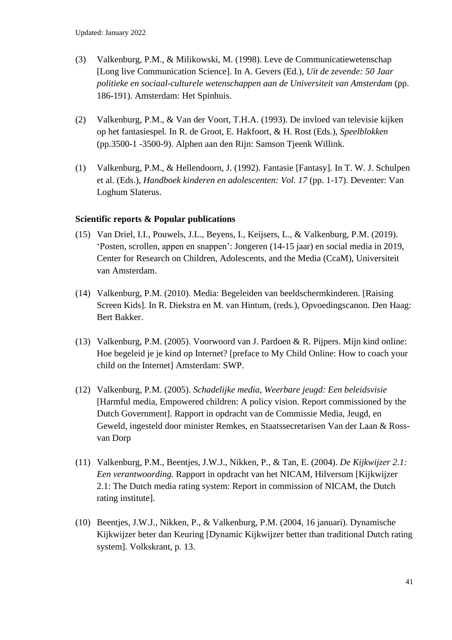- (3) Valkenburg, P.M., & Milikowski, M. (1998). Leve de Communicatiewetenschap [Long live Communication Science]. In A. Gevers (Ed.), *Uit de zevende: 50 Jaar politieke en sociaal-culturele wetenschappen aan de Universiteit van Amsterdam* (pp. 186-191). Amsterdam: Het Spinhuis.
- (2) Valkenburg, P.M., & Van der Voort, T.H.A. (1993). De invloed van televisie kijken op het fantasiespel. In R. de Groot, E. Hakfoort, & H. Rost (Eds.), *Speelblokken*  (pp.3500-1 -3500-9). Alphen aan den Rijn: Samson Tjeenk Willink.
- (1) Valkenburg, P.M., & Hellendoorn, J. (1992). Fantasie [Fantasy]. In T. W. J. Schulpen et al. (Eds.), *Handboek kinderen en adolescenten: Vol. 17* (pp. 1-17). Deventer: Van Loghum Slaterus.

## **Scientific reports & Popular publications**

- (15) Van Driel, I.I., Pouwels, J.L., Beyens, I., Keijsers, L., & Valkenburg, P.M. (2019). 'Posten, scrollen, appen en snappen': Jongeren (14-15 jaar) en social media in 2019, Center for Research on Children, Adolescents, and the Media (CcaM), Universiteit van Amsterdam.
- (14) Valkenburg, P.M. (2010). Media: Begeleiden van beeldschermkinderen. [Raising Screen Kids]. In R. Diekstra en M. van Hintum, (reds.), Opvoedingscanon. Den Haag: Bert Bakker.
- (13) Valkenburg, P.M. (2005). Voorwoord van J. Pardoen & R. Pijpers. Mijn kind online: Hoe begeleid je je kind op Internet? [preface to My Child Online: How to coach your child on the Internet] Amsterdam: SWP.
- (12) Valkenburg, P.M. (2005). *Schadelijke media, Weerbare jeugd: Een beleidsvisie*  [Harmful media, Empowered children: A policy vision. Report commissioned by the Dutch Government]. Rapport in opdracht van de Commissie Media, Jeugd, en Geweld, ingesteld door minister Remkes, en Staatssecretarisen Van der Laan & Rossvan Dorp
- (11) Valkenburg, P.M., Beentjes, J.W.J., Nikken, P., & Tan, E. (2004). *De Kijkwijzer 2.1: Een verantwoording.* Rapport in opdracht van het NICAM, Hilversum [Kijkwijzer 2.1: The Dutch media rating system: Report in commission of NICAM, the Dutch rating institute].
- (10) Beentjes, J.W.J., Nikken, P., & Valkenburg, P.M. (2004, 16 januari). Dynamische Kijkwijzer beter dan Keuring [Dynamic Kijkwijzer better than traditional Dutch rating system]. Volkskrant, p. 13.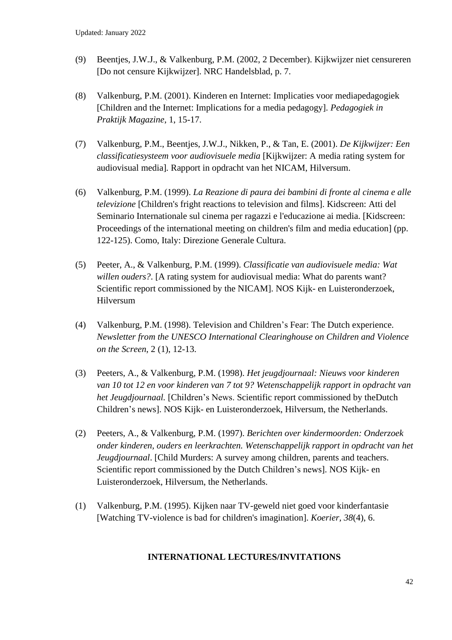- (9) Beentjes, J.W.J., & Valkenburg, P.M. (2002, 2 December). Kijkwijzer niet censureren [Do not censure Kijkwijzer]. NRC Handelsblad, p. 7.
- (8) Valkenburg, P.M. (2001). Kinderen en Internet: Implicaties voor mediapedagogiek [Children and the Internet: Implications for a media pedagogy]. *Pedagogiek in Praktijk Magazine*, 1, 15-17.
- (7) Valkenburg, P.M., Beentjes, J.W.J., Nikken, P., & Tan, E. (2001). *De Kijkwijzer: Een classificatiesysteem voor audiovisuele media* [Kijkwijzer: A media rating system for audiovisual media]*.* Rapport in opdracht van het NICAM, Hilversum.
- (6) Valkenburg, P.M. (1999). *La Reazione di paura dei bambini di fronte al cinema e alle televizione* [Children's fright reactions to television and films]. Kidscreen: Atti del Seminario Internationale sul cinema per ragazzi e l'educazione ai media. [Kidscreen: Proceedings of the international meeting on children's film and media education] (pp. 122-125). Como, Italy: Direzione Generale Cultura.
- (5) Peeter, A., & Valkenburg, P.M. (1999). *Classificatie van audiovisuele media: Wat willen ouders?*. [A rating system for audiovisual media: What do parents want? Scientific report commissioned by the NICAM]. NOS Kijk- en Luisteronderzoek, Hilversum
- (4) Valkenburg, P.M. (1998). Television and Children's Fear: The Dutch experience. *Newsletter from the UNESCO International Clearinghouse on Children and Violence on the Screen*, 2 (1), 12-13.
- (3) Peeters, A., & Valkenburg, P.M. (1998). *Het jeugdjournaal: Nieuws voor kinderen van 10 tot 12 en voor kinderen van 7 tot 9? Wetenschappelijk rapport in opdracht van het Jeugdjournaal.* [Children's News. Scientific report commissioned by theDutch Children's news]. NOS Kijk- en Luisteronderzoek, Hilversum, the Netherlands.
- (2) Peeters, A., & Valkenburg, P.M. (1997). *Berichten over kindermoorden: Onderzoek onder kinderen, ouders en leerkrachten. Wetenschappelijk rapport in opdracht van het Jeugdjournaal*. [Child Murders: A survey among children, parents and teachers. Scientific report commissioned by the Dutch Children's news]. NOS Kijk- en Luisteronderzoek, Hilversum, the Netherlands.
- (1) Valkenburg, P.M. (1995). Kijken naar TV-geweld niet goed voor kinderfantasie [Watching TV-violence is bad for children's imagination]. *Koerier, 38*(4), 6.

## **INTERNATIONAL LECTURES/INVITATIONS**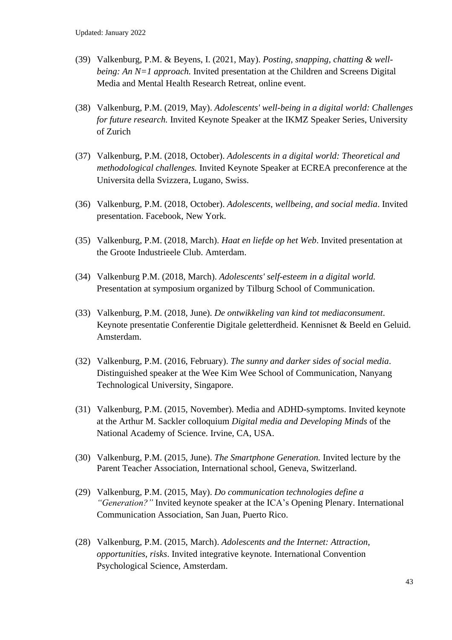- (39) Valkenburg, P.M. & Beyens, I. (2021, May). *Posting, snapping, chatting & wellbeing: An N=1 approach.* Invited presentation at the Children and Screens Digital Media and Mental Health Research Retreat, online event.
- (38) Valkenburg, P.M. (2019, May). *Adolescents' well-being in a digital world: Challenges for future research.* Invited Keynote Speaker at the IKMZ Speaker Series, University of Zurich
- (37) Valkenburg, P.M. (2018, October). *Adolescents in a digital world: Theoretical and methodological challenges.* Invited Keynote Speaker at ECREA preconference at the Universita della Svizzera, Lugano, Swiss.
- (36) Valkenburg, P.M. (2018, October). *Adolescents, wellbeing, and social media*. Invited presentation. Facebook, New York.
- (35) Valkenburg, P.M. (2018, March). *Haat en liefde op het Web*. Invited presentation at the Groote Industrieele Club. Amterdam.
- (34) Valkenburg P.M. (2018, March). *Adolescents' self-esteem in a digital world.* Presentation at symposium organized by Tilburg School of Communication.
- (33) Valkenburg, P.M. (2018, June). *De ontwikkeling van kind tot mediaconsument*. Keynote presentatie Conferentie Digitale geletterdheid. Kennisnet & Beeld en Geluid. Amsterdam.
- (32) Valkenburg, P.M. (2016, February). *The sunny and darker sides of social media*. Distinguished speaker at the Wee Kim Wee School of Communication, Nanyang Technological University, Singapore.
- (31) Valkenburg, P.M. (2015, November). Media and ADHD-symptoms. Invited keynote at the Arthur M. Sackler colloquium *Digital media and Developing Minds* of the National Academy of Science. Irvine, CA, USA.
- (30) Valkenburg, P.M. (2015, June). *The Smartphone Generation.* Invited lecture by the Parent Teacher Association, International school, Geneva, Switzerland.
- (29) Valkenburg, P.M. (2015, May). *Do communication technologies define a "Generation?"* Invited keynote speaker at the ICA's Opening Plenary. International Communication Association, San Juan, Puerto Rico.
- (28) Valkenburg, P.M. (2015, March). *Adolescents and the Internet: Attraction, opportunities, risks*. Invited integrative keynote. International Convention Psychological Science, Amsterdam.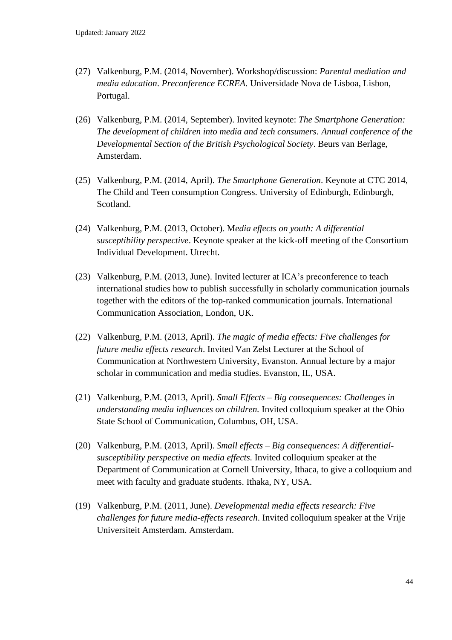- (27) Valkenburg, P.M. (2014, November). Workshop/discussion: *Parental mediation and media education*. *Preconference ECREA*. Universidade Nova de Lisboa, Lisbon, Portugal.
- (26) Valkenburg, P.M. (2014, September). Invited keynote: *The Smartphone Generation: The development of children into media and tech consumers*. *Annual conference of the Developmental Section of the British Psychological Society*. Beurs van Berlage, Amsterdam.
- (25) Valkenburg, P.M. (2014, April). *The Smartphone Generation*. Keynote at CTC 2014, The Child and Teen consumption Congress. University of Edinburgh, Edinburgh, Scotland.
- (24) Valkenburg, P.M. (2013, October). M*edia effects on youth: A differential susceptibility perspective*. Keynote speaker at the kick-off meeting of the Consortium Individual Development. Utrecht.
- (23) Valkenburg, P.M. (2013, June). Invited lecturer at ICA's preconference to teach international studies how to publish successfully in scholarly communication journals together with the editors of the top-ranked communication journals. International Communication Association, London, UK.
- (22) Valkenburg, P.M. (2013, April). *The magic of media effects: Five challenges for future media effects research*. Invited Van Zelst Lecturer at the School of Communication at Northwestern University, Evanston. Annual lecture by a major scholar in communication and media studies. Evanston, IL, USA.
- (21) Valkenburg, P.M. (2013, April). *Small Effects – Big consequences: Challenges in understanding media influences on children.* Invited colloquium speaker at the Ohio State School of Communication, Columbus, OH, USA.
- (20) Valkenburg, P.M. (2013, April). *Small effects – Big consequences: A differentialsusceptibility perspective on media effects.* Invited colloquium speaker at the Department of Communication at Cornell University, Ithaca, to give a colloquium and meet with faculty and graduate students. Ithaka, NY, USA.
- (19) Valkenburg, P.M. (2011, June). *Developmental media effects research: Five challenges for future media-effects research*. Invited colloquium speaker at the Vrije Universiteit Amsterdam. Amsterdam.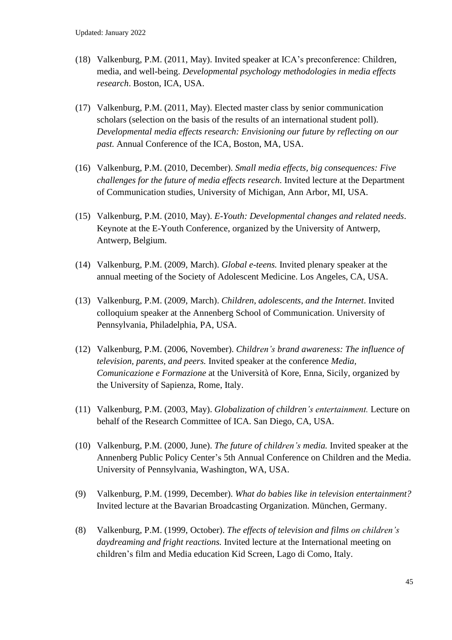- (18) Valkenburg, P.M. (2011, May). Invited speaker at ICA's preconference: Children, media, and well-being. *Developmental psychology methodologies in media effects research*. Boston, ICA, USA.
- (17) Valkenburg, P.M. (2011, May). Elected master class by senior communication scholars (selection on the basis of the results of an international student poll). *Developmental media effects research: Envisioning our future by reflecting on our past.* Annual Conference of the ICA, Boston, MA, USA.
- (16) Valkenburg, P.M. (2010, December). *Small media effects, big consequences: Five challenges for the future of media effects research.* Invited lecture at the Department of Communication studies, University of Michigan, Ann Arbor, MI, USA.
- (15) Valkenburg, P.M. (2010, May). *E-Youth: Developmental changes and related needs*. Keynote at the E-Youth Conference, organized by the University of Antwerp*,*  Antwerp, Belgium.
- (14) Valkenburg, P.M. (2009, March). *Global e-teens.* Invited plenary speaker at the annual meeting of the Society of Adolescent Medicine. Los Angeles, CA, USA.
- (13) Valkenburg, P.M. (2009, March). *Children, adolescents, and the Internet*. Invited colloquium speaker at the Annenberg School of Communication. University of Pennsylvania, Philadelphia, PA, USA.
- (12) Valkenburg, P.M. (2006, November). *Children's brand awareness: The influence of television, parents, and peers.* Invited speaker at the conference *Media, Comunicazione e Formazione* at the Università of Kore, Enna, Sicily, organized by the University of Sapienza, Rome, Italy.
- (11) Valkenburg, P.M. (2003, May). *Globalization of children's entertainment.* Lecture on behalf of the Research Committee of ICA. San Diego, CA, USA.
- (10) Valkenburg, P.M. (2000, June). *The future of children's media.* Invited speaker at the Annenberg Public Policy Center's 5th Annual Conference on Children and the Media. University of Pennsylvania, Washington, WA, USA.
- (9) Valkenburg, P.M. (1999, December). *What do babies like in television entertainment?* Invited lecture at the Bavarian Broadcasting Organization. München, Germany.
- (8) Valkenburg, P.M. (1999, October). *The effects of television and films on children's daydreaming and fright reactions.* Invited lecture at the International meeting on children's film and Media education Kid Screen, Lago di Como, Italy.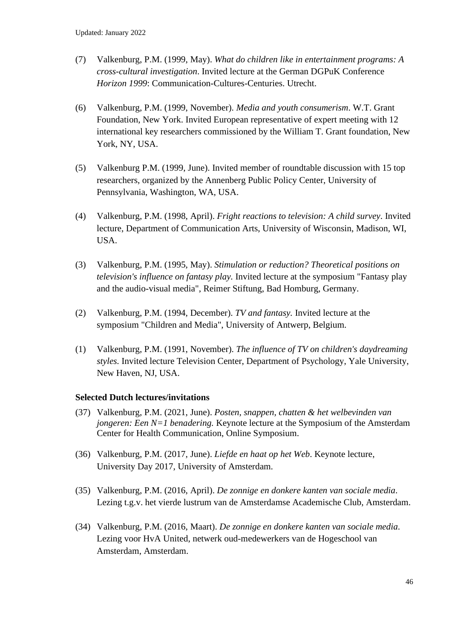- (7) Valkenburg, P.M. (1999, May). *What do children like in entertainment programs: A cross-cultural investigation*. Invited lecture at the German DGPuK Conference *Horizon 1999*: Communication-Cultures-Centuries. Utrecht.
- (6) Valkenburg, P.M. (1999, November). *Media and youth consumerism*. W.T. Grant Foundation, New York. Invited European representative of expert meeting with 12 international key researchers commissioned by the William T. Grant foundation, New York, NY, USA.
- (5) Valkenburg P.M. (1999, June). Invited member of roundtable discussion with 15 top researchers, organized by the Annenberg Public Policy Center, University of Pennsylvania, Washington, WA, USA.
- (4) Valkenburg, P.M. (1998, April). *Fright reactions to television: A child survey*. Invited lecture, Department of Communication Arts, University of Wisconsin, Madison, WI, USA.
- (3) Valkenburg, P.M. (1995, May). *Stimulation or reduction? Theoretical positions on television's influence on fantasy play.* Invited lecture at the symposium "Fantasy play and the audio-visual media", Reimer Stiftung, Bad Homburg, Germany.
- (2) Valkenburg, P.M. (1994, December). *TV and fantasy.* Invited lecture at the symposium "Children and Media", University of Antwerp, Belgium.
- (1) Valkenburg, P.M. (1991, November). *The influence of TV on children's daydreaming styles.* Invited lecture Television Center, Department of Psychology, Yale University, New Haven, NJ, USA.

## **Selected Dutch lectures/invitations**

- (37) Valkenburg, P.M. (2021, June). *Posten, snappen, chatten & het welbevinden van jongeren: Een N=1 benadering.* Keynote lecture at the Symposium of the Amsterdam Center for Health Communication, Online Symposium.
- (36) Valkenburg, P.M. (2017, June). *Liefde en haat op het Web*. Keynote lecture, University Day 2017, University of Amsterdam.
- (35) Valkenburg, P.M. (2016, April). *De zonnige en donkere kanten van sociale media*. Lezing t.g.v. het vierde lustrum van de Amsterdamse Academische Club, Amsterdam.
- (34) Valkenburg, P.M. (2016, Maart). *De zonnige en donkere kanten van sociale media*. Lezing voor HvA United, netwerk oud-medewerkers van de Hogeschool van Amsterdam, Amsterdam.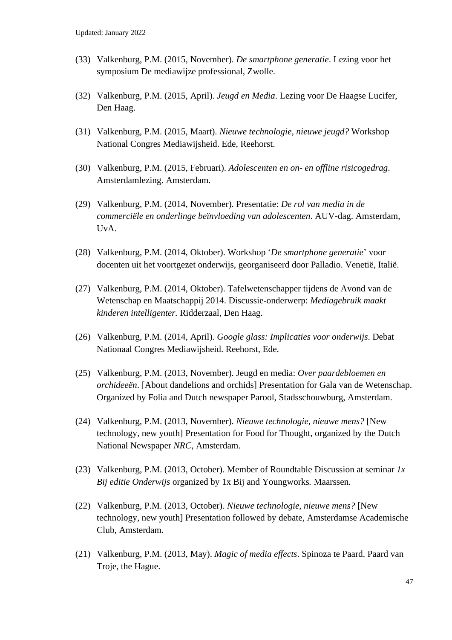- (33) Valkenburg, P.M. (2015, November). *De smartphone generatie*. Lezing voor het symposium De mediawijze professional, Zwolle.
- (32) Valkenburg, P.M. (2015, April). *Jeugd en Media*. Lezing voor De Haagse Lucifer, Den Haag.
- (31) Valkenburg, P.M. (2015, Maart). *Nieuwe technologie, nieuwe jeugd?* Workshop National Congres Mediawijsheid. Ede, Reehorst.
- (30) Valkenburg, P.M. (2015, Februari). *Adolescenten en on- en offline risicogedrag*. Amsterdamlezing. Amsterdam.
- (29) Valkenburg, P.M. (2014, November). Presentatie: *De rol van media in de commerciële en onderlinge beïnvloeding van adolescenten*. AUV-dag. Amsterdam, UvA.
- (28) Valkenburg, P.M. (2014, Oktober). Workshop '*De smartphone generatie*' voor docenten uit het voortgezet onderwijs, georganiseerd door Palladio. Venetië, Italië.
- (27) Valkenburg, P.M. (2014, Oktober). Tafelwetenschapper tijdens de Avond van de Wetenschap en Maatschappij 2014. Discussie-onderwerp: *Mediagebruik maakt kinderen intelligenter.* Ridderzaal, Den Haag.
- (26) Valkenburg, P.M. (2014, April). *Google glass: Implicaties voor onderwijs*. Debat Nationaal Congres Mediawijsheid. Reehorst, Ede.
- (25) Valkenburg, P.M. (2013, November). Jeugd en media: *Over paardebloemen en orchideeën*. [About dandelions and orchids] Presentation for Gala van de Wetenschap. Organized by Folia and Dutch newspaper Parool, Stadsschouwburg, Amsterdam.
- (24) Valkenburg, P.M. (2013, November). *Nieuwe technologie, nieuwe mens?* [New technology, new youth] Presentation for Food for Thought, organized by the Dutch National Newspaper *NRC*, Amsterdam.
- (23) Valkenburg, P.M. (2013, October). Member of Roundtable Discussion at seminar *1x Bij editie Onderwijs* organized by 1x Bij and Youngworks*.* Maarssen.
- (22) Valkenburg, P.M. (2013, October). *Nieuwe technologie, nieuwe mens?* [New technology, new youth] Presentation followed by debate, Amsterdamse Academische Club, Amsterdam.
- (21) Valkenburg, P.M. (2013, May). *Magic of media effects*. Spinoza te Paard. Paard van Troje, the Hague.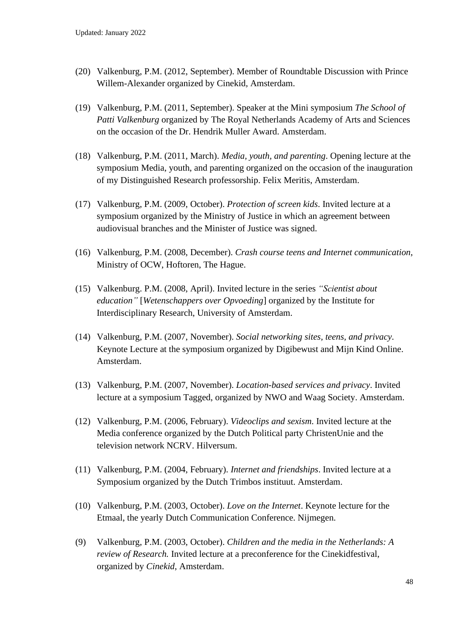- (20) Valkenburg, P.M. (2012, September). Member of Roundtable Discussion with Prince Willem-Alexander organized by Cinekid*,* Amsterdam.
- (19) Valkenburg, P.M. (2011, September). Speaker at the Mini symposium *The School of Patti Valkenburg* organized by The Royal Netherlands Academy of Arts and Sciences on the occasion of the Dr. Hendrik Muller Award. Amsterdam.
- (18) Valkenburg, P.M. (2011, March). *Media, youth, and parenting*. Opening lecture at the symposium Media, youth, and parenting organized on the occasion of the inauguration of my Distinguished Research professorship. Felix Meritis, Amsterdam.
- (17) Valkenburg, P.M. (2009, October). *Protection of screen kids*. Invited lecture at a symposium organized by the Ministry of Justice in which an agreement between audiovisual branches and the Minister of Justice was signed.
- (16) Valkenburg, P.M. (2008, December). *Crash course teens and Internet communication*, Ministry of OCW, Hoftoren, The Hague.
- (15) Valkenburg. P.M. (2008, April). Invited lecture in the series *"Scientist about education"* [*Wetenschappers over Opvoeding*] organized by the Institute for Interdisciplinary Research, University of Amsterdam.
- (14) Valkenburg, P.M. (2007, November). *Social networking sites, teens, and privacy*. Keynote Lecture at the symposium organized by Digibewust and Mijn Kind Online. Amsterdam.
- (13) Valkenburg, P.M. (2007, November). *Location-based services and privacy*. Invited lecture at a symposium Tagged, organized by NWO and Waag Society. Amsterdam.
- (12) Valkenburg, P.M. (2006, February). *Videoclips and sexism*. Invited lecture at the Media conference organized by the Dutch Political party ChristenUnie and the television network NCRV. Hilversum.
- (11) Valkenburg, P.M. (2004, February). *Internet and friendships*. Invited lecture at a Symposium organized by the Dutch Trimbos instituut. Amsterdam.
- (10) Valkenburg, P.M. (2003, October). *Love on the Internet*. Keynote lecture for the Etmaal, the yearly Dutch Communication Conference. Nijmegen.
- (9) Valkenburg, P.M. (2003, October). *Children and the media in the Netherlands: A review of Research.* Invited lecture at a preconference for the Cinekidfestival, organized by *Cinekid*, Amsterdam.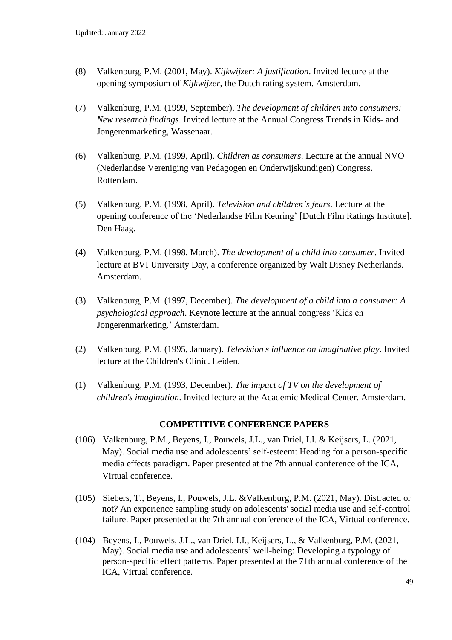- (8) Valkenburg, P.M. (2001, May). *Kijkwijzer: A justification*. Invited lecture at the opening symposium of *Kijkwijzer*, the Dutch rating system. Amsterdam.
- (7) Valkenburg, P.M. (1999, September). *The development of children into consumers: New research findings*. Invited lecture at the Annual Congress Trends in Kids- and Jongerenmarketing, Wassenaar.
- (6) Valkenburg, P.M. (1999, April). *Children as consumers*. Lecture at the annual NVO (Nederlandse Vereniging van Pedagogen en Onderwijskundigen) Congress. Rotterdam.
- (5) Valkenburg, P.M. (1998, April). *Television and children's fears*. Lecture at the opening conference of the 'Nederlandse Film Keuring' [Dutch Film Ratings Institute]. Den Haag.
- (4) Valkenburg, P.M. (1998, March). *The development of a child into consumer*. Invited lecture at BVI University Day, a conference organized by Walt Disney Netherlands. Amsterdam.
- (3) Valkenburg, P.M. (1997, December). *The development of a child into a consumer: A psychological approach*. Keynote lecture at the annual congress 'Kids en Jongerenmarketing.' Amsterdam.
- (2) Valkenburg, P.M. (1995, January). *Television's influence on imaginative play*. Invited lecture at the Children's Clinic. Leiden.
- (1) Valkenburg, P.M. (1993, December). *The impact of TV on the development of children's imagination*. Invited lecture at the Academic Medical Center. Amsterdam.

## **COMPETITIVE CONFERENCE PAPERS**

- (106) Valkenburg, P.M., Beyens, I., Pouwels, J.L., van Driel, I.I. & Keijsers, L. (2021, May). Social media use and adolescents' self-esteem: Heading for a person-specific media effects paradigm. Paper presented at the 7th annual conference of the ICA, Virtual conference.
- (105) Siebers, T., Beyens, I., Pouwels, J.L. &Valkenburg, P.M. (2021, May). Distracted or not? An experience sampling study on adolescents' social media use and self-control failure. Paper presented at the 7th annual conference of the ICA, Virtual conference.
- (104) Beyens, I., Pouwels, J.L., van Driel, I.I., Keijsers, L., & Valkenburg, P.M. (2021, May). Social media use and adolescents' well-being: Developing a typology of person-specific effect patterns. Paper presented at the 71th annual conference of the ICA, Virtual conference.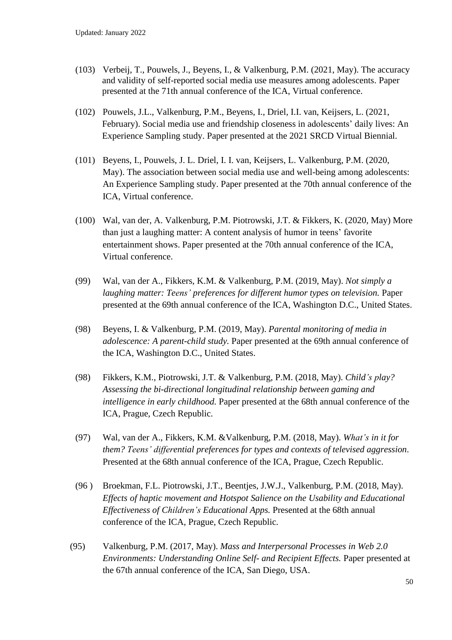- (103) Verbeij, T., Pouwels, J., Beyens, I., & Valkenburg, P.M. (2021, May). The accuracy and validity of self-reported social media use measures among adolescents. Paper presented at the 71th annual conference of the ICA, Virtual conference.
- (102) Pouwels, J.L., Valkenburg, P.M., Beyens, I., Driel, I.I. van, Keijsers, L. (2021, February). Social media use and friendship closeness in adolescents' daily lives: An Experience Sampling study. Paper presented at the 2021 SRCD Virtual Biennial.
- (101) Beyens, I., Pouwels, J. L. Driel, I. I. van, Keijsers, L. Valkenburg, P.M. (2020, May). The association between social media use and well-being among adolescents: An Experience Sampling study. Paper presented at the 70th annual conference of the ICA, Virtual conference.
- (100) Wal, van der, A. Valkenburg, P.M. Piotrowski, J.T. & Fikkers, K. (2020, May) More than just a laughing matter: A content analysis of humor in teens' favorite entertainment shows. Paper presented at the 70th annual conference of the ICA, Virtual conference.
- (99) Wal, van der A., Fikkers, K.M. & Valkenburg, P.M. (2019, May). *Not simply a laughing matter: Teens' preferences for different humor types on television.* Paper presented at the 69th annual conference of the ICA, Washington D.C., United States.
- (98) Beyens, I. & Valkenburg, P.M. (2019, May). *Parental monitoring of media in adolescence: A parent-child study.* Paper presented at the 69th annual conference of the ICA, Washington D.C., United States.
- (98) Fikkers, K.M., Piotrowski, J.T. & Valkenburg, P.M. (2018, May). *Child's play? Assessing the bi-directional longitudinal relationship between gaming and intelligence in early childhood.* Paper presented at the 68th annual conference of the ICA, Prague, Czech Republic.
- (97) Wal, van der A., Fikkers, K.M. &Valkenburg, P.M. (2018, May). *What's in it for them? Teens' differential preferences for types and contexts of televised aggression*. Presented at the 68th annual conference of the ICA, Prague, Czech Republic.
- (96 ) Broekman, F.L. Piotrowski, J.T., Beentjes, J.W.J., Valkenburg, P.M. (2018, May). *Effects of haptic movement and Hotspot Salience on the Usability and Educational Effectiveness of Children's Educational Apps.* Presented at the 68th annual conference of the ICA, Prague, Czech Republic.
- (95) Valkenburg, P.M. (2017, May). *Mass and Interpersonal Processes in Web 2.0 Environments: Understanding Online Self- and Recipient Effects.* Paper presented at the 67th annual conference of the ICA, San Diego, USA.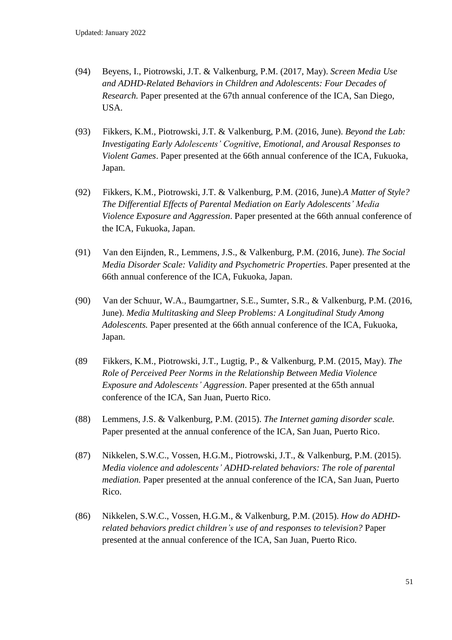- (94) Beyens, I., Piotrowski, J.T. & Valkenburg, P.M. (2017, May). *Screen Media Use and ADHD-Related Behaviors in Children and Adolescents: Four Decades of Research.* Paper presented at the 67th annual conference of the ICA, San Diego, USA.
- (93) Fikkers, K.M., Piotrowski, J.T. & Valkenburg, P.M. (2016, June). *Beyond the Lab: Investigating Early Adolescents' Cognitive, Emotional, and Arousal Responses to Violent Games*. Paper presented at the 66th annual conference of the ICA, Fukuoka, Japan.
- (92) Fikkers, K.M., Piotrowski, J.T. & Valkenburg, P.M. (2016, June).*A Matter of Style? The Differential Effects of Parental Mediation on Early Adolescents' Media Violence Exposure and Aggression*. Paper presented at the 66th annual conference of the ICA, Fukuoka, Japan.
- (91) Van den Eijnden, R., Lemmens, J.S., & Valkenburg, P.M. (2016, June). *The Social Media Disorder Scale: Validity and Psychometric Properties*. Paper presented at the 66th annual conference of the ICA, Fukuoka, Japan.
- (90) Van der Schuur, W.A., Baumgartner, S.E., Sumter, S.R., & Valkenburg, P.M. (2016, June). *Media Multitasking and Sleep Problems: A Longitudinal Study Among Adolescents.* Paper presented at the 66th annual conference of the ICA, Fukuoka, Japan.
- (89 Fikkers, K.M., Piotrowski, J.T., Lugtig, P., & Valkenburg, P.M. (2015, May). *The Role of Perceived Peer Norms in the Relationship Between Media Violence Exposure and Adolescents' Aggression*. Paper presented at the 65th annual conference of the ICA, San Juan, Puerto Rico.
- (88) Lemmens, J.S. & Valkenburg, P.M. (2015). *The Internet gaming disorder scale.* Paper presented at the annual conference of the ICA, San Juan, Puerto Rico.
- (87) Nikkelen, S.W.C., Vossen, H.G.M., Piotrowski, J.T., & Valkenburg, P.M. (2015). *Media violence and adolescents' ADHD-related behaviors: The role of parental mediation.* Paper presented at the annual conference of the ICA, San Juan, Puerto Rico.
- (86) Nikkelen, S.W.C., Vossen, H.G.M., & Valkenburg, P.M. (2015). *How do ADHDrelated behaviors predict children's use of and responses to television?* Paper presented at the annual conference of the ICA, San Juan, Puerto Rico.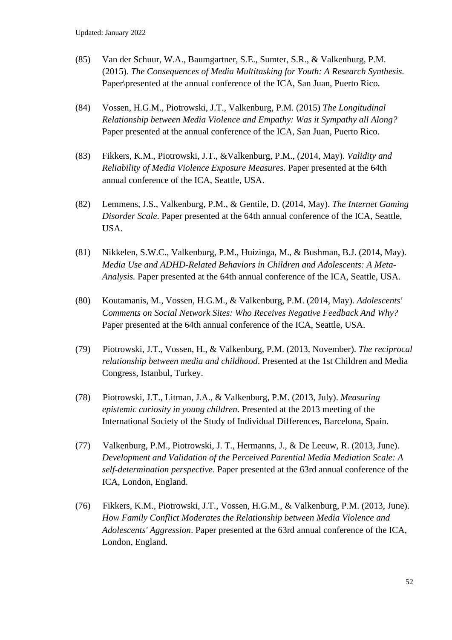- (85) Van der Schuur, W.A., Baumgartner, S.E., Sumter, S.R., & Valkenburg, P.M. (2015). *The Consequences of Media Multitasking for Youth: A Research Synthesis.*  Paper\presented at the annual conference of the ICA, San Juan, Puerto Rico.
- (84) Vossen, H.G.M., Piotrowski, J.T., Valkenburg, P.M. (2015) *The Longitudinal Relationship between Media Violence and Empathy: Was it Sympathy all Along?* Paper presented at the annual conference of the ICA, San Juan, Puerto Rico.
- (83) Fikkers, K.M., Piotrowski, J.T., &Valkenburg, P.M., (2014, May). *Validity and Reliability of Media Violence Exposure Measures.* Paper presented at the 64th annual conference of the ICA, Seattle, USA.
- (82) Lemmens, J.S., Valkenburg, P.M., & Gentile, D. (2014, May). *The Internet Gaming Disorder Scale*. Paper presented at the 64th annual conference of the ICA, Seattle, USA.
- (81) Nikkelen, S.W.C., Valkenburg, P.M., Huizinga, M., & Bushman, B.J. (2014, May). *Media Use and ADHD-Related Behaviors in Children and Adolescents: A Meta-Analysis.* Paper presented at the 64th annual conference of the ICA, Seattle, USA.
- (80) Koutamanis, M., Vossen, H.G.M., & Valkenburg, P.M. (2014, May). *Adolescents' Comments on Social Network Sites: Who Receives Negative Feedback And Why?* Paper presented at the 64th annual conference of the ICA, Seattle, USA.
- (79) Piotrowski, J.T., Vossen, H., & Valkenburg, P.M. (2013, November). *The reciprocal relationship between media and childhood*. Presented at the 1st Children and Media Congress, Istanbul, Turkey.
- (78) Piotrowski, J.T., Litman, J.A., & Valkenburg, P.M. (2013, July). *Measuring epistemic curiosity in young children*. Presented at the 2013 meeting of the International Society of the Study of Individual Differences, Barcelona, Spain.
- (77) Valkenburg, P.M., Piotrowski, J. T., Hermanns, J., & De Leeuw, R. (2013, June). *Development and Validation of the Perceived Parential Media Mediation Scale: A self-determination perspective*. Paper presented at the 63rd annual conference of the ICA, London, England.
- (76) Fikkers, K.M., Piotrowski, J.T., Vossen, H.G.M., & Valkenburg, P.M. (2013, June). *How Family Conflict Moderates the Relationship between Media Violence and Adolescents' Aggression*. Paper presented at the 63rd annual conference of the ICA, London, England.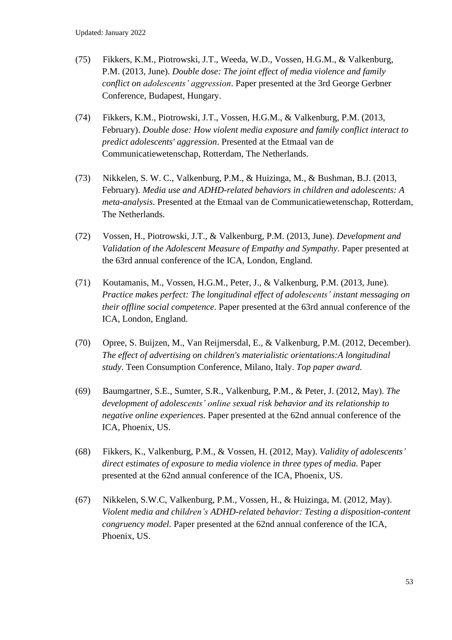- (75) Fikkers, K.M., Piotrowski, J.T., Weeda, W.D., Vossen, H.G.M., & Valkenburg, P.M. (2013, June). *Double dose: The joint effect of media violence and family conflict on adolescents' aggression*. Paper presented at the 3rd George Gerbner Conference, Budapest, Hungary.
- (74) Fikkers, K.M., Piotrowski, J.T., Vossen, H.G.M., & Valkenburg, P.M. (2013, February). *Double dose: How violent media exposure and family conflict interact to predict adolescents' aggression*. Presented at the Etmaal van de Communicatiewetenschap, Rotterdam, The Netherlands.
- (73) Nikkelen, S. W. C., Valkenburg, P.M., & Huizinga, M., & Bushman, B.J. (2013, February). *Media use and ADHD-related behaviors in children and adolescents: A meta-analysis*. Presented at the Etmaal van de Communicatiewetenschap, Rotterdam, The Netherlands.
- (72) Vossen, H., Piotrowski, J.T., & Valkenburg, P.M. (2013, June). *Development and Validation of the Adolescent Measure of Empathy and Sympathy*. Paper presented at the 63rd annual conference of the ICA, London, England.
- (71) Koutamanis, M., Vossen, H.G.M., Peter, J., & Valkenburg, P.M. (2013, June). *Practice makes perfect: The longitudinal effect of adolescents' instant messaging on their offline social competence*. Paper presented at the 63rd annual conference of the ICA, London, England.
- (70) Opree, S. Buijzen, M., Van Reijmersdal, E., & Valkenburg, P.M. (2012, December). *The effect of advertising on children's materialistic orientations:A longitudinal study*. Teen Consumption Conference, Milano, Italy. *Top paper award.*
- (69) Baumgartner, S.E., Sumter, S.R., Valkenburg, P.M., & Peter, J. (2012, May). *The development of adolescents' online sexual risk behavior and its relationship to negative online experiences.* Paper presented at the 62nd annual conference of the ICA, Phoenix, US.
- (68) Fikkers, K., Valkenburg, P.M., & Vossen, H. (2012, May). *Validity of adolescents' direct estimates of exposure to media violence in three types of media.* Paper presented at the 62nd annual conference of the ICA, Phoenix, US.
- (67) Nikkelen, S.W.C, Valkenburg, P.M., Vossen, H., & Huizinga, M. (2012, May). *Violent media and children's ADHD-related behavior: Testing a disposition-content congruency model.* Paper presented at the 62nd annual conference of the ICA, Phoenix, US.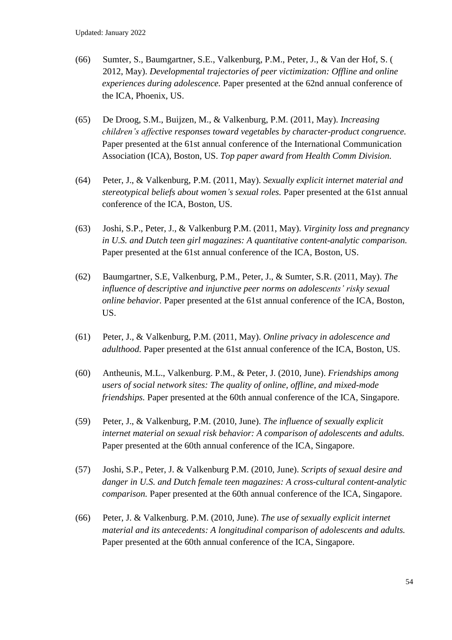- (66) Sumter, S., Baumgartner, S.E., Valkenburg, P.M., Peter, J., & Van der Hof, S. ( 2012, May). *Developmental trajectories of peer victimization: Offline and online experiences during adolescence.* Paper presented at the 62nd annual conference of the ICA, Phoenix, US.
- (65) De Droog, S.M., Buijzen, M., & Valkenburg, P.M. (2011, May). *Increasing children's affective responses toward vegetables by character-product congruence.* Paper presented at the 61st annual conference of the International Communication Association (ICA), Boston, US. *Top paper award from Health Comm Division.*
- (64) Peter, J., & Valkenburg, P.M. (2011, May). *Sexually explicit internet material and stereotypical beliefs about women's sexual roles.* Paper presented at the 61st annual conference of the ICA, Boston, US.
- (63) Joshi, S.P., Peter, J., & Valkenburg P.M. (2011, May). *Virginity loss and pregnancy in U.S. and Dutch teen girl magazines: A quantitative content-analytic comparison.*  Paper presented at the 61st annual conference of the ICA, Boston, US.
- (62) Baumgartner, S.E, Valkenburg, P.M., Peter, J., & Sumter, S.R. (2011, May). *The influence of descriptive and injunctive peer norms on adolescents' risky sexual online behavior.* Paper presented at the 61st annual conference of the ICA, Boston, US.
- (61) Peter, J., & Valkenburg, P.M. (2011, May). *Online privacy in adolescence and adulthood.* Paper presented at the 61st annual conference of the ICA, Boston, US.
- (60) Antheunis, M.L., Valkenburg. P.M., & Peter, J. (2010, June). *Friendships among users of social network sites: The quality of online, offline, and mixed-mode friendships.* Paper presented at the 60th annual conference of the ICA, Singapore.
- (59) Peter, J., & Valkenburg, P.M. (2010, June). *The influence of sexually explicit internet material on sexual risk behavior: A comparison of adolescents and adults.* Paper presented at the 60th annual conference of the ICA, Singapore.
- (57) Joshi, S.P., Peter, J. & Valkenburg P.M. (2010, June). *Scripts of sexual desire and danger in U.S. and Dutch female teen magazines: A cross-cultural content-analytic comparison.* Paper presented at the 60th annual conference of the ICA, Singapore.
- (66) Peter, J. & Valkenburg. P.M. (2010, June). *The use of sexually explicit internet material and its antecedents: A longitudinal comparison of adolescents and adults.* Paper presented at the 60th annual conference of the ICA, Singapore.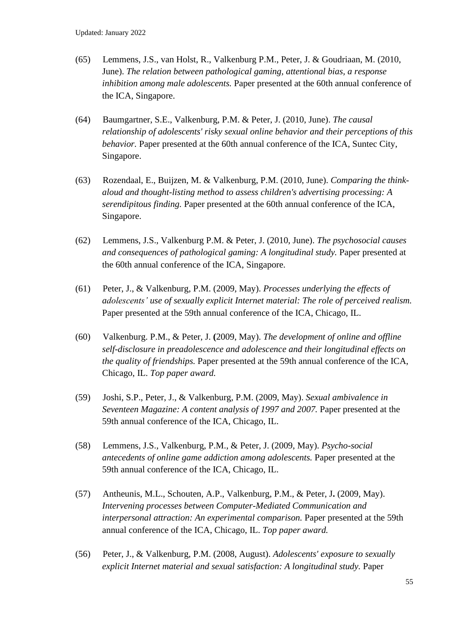- (65) Lemmens, J.S., van Holst, R., Valkenburg P.M., Peter, J. & Goudriaan, M. (2010, June). *The relation between pathological gaming, attentional bias, a response inhibition among male adolescents.* Paper presented at the 60th annual conference of the ICA, Singapore.
- (64) Baumgartner, S.E., Valkenburg, P.M. & Peter, J. (2010, June). *The causal relationship of adolescents' risky sexual online behavior and their perceptions of this behavior.* Paper presented at the 60th annual conference of the ICA, Suntec City, Singapore.
- (63) Rozendaal, E., Buijzen, M. & Valkenburg, P.M. (2010, June). *Comparing the thinkaloud and thought-listing method to assess children's advertising processing: A serendipitous finding.* Paper presented at the 60th annual conference of the ICA, Singapore.
- (62) Lemmens, J.S., Valkenburg P.M. & Peter, J. (2010, June). *The psychosocial causes and consequences of pathological gaming: A longitudinal study.* Paper presented at the 60th annual conference of the ICA, Singapore.
- (61) Peter, J., & Valkenburg, P.M. (2009, May). *Processes underlying the effects of adolescents' use of sexually explicit Internet material: The role of perceived realism.* Paper presented at the 59th annual conference of the ICA, Chicago, IL.
- (60) Valkenburg. P.M., & Peter, J. **(**2009, May). *The development of online and offline self-disclosure in preadolescence and adolescence and their longitudinal effects on the quality of friendships.* Paper presented at the 59th annual conference of the ICA, Chicago, IL. *Top paper award.*
- (59) Joshi, S.P., Peter, J., & Valkenburg, P.M. (2009, May). *Sexual ambivalence in Seventeen Magazine: A content analysis of 1997 and 2007.* Paper presented at the 59th annual conference of the ICA, Chicago, IL.
- (58) Lemmens, J.S., Valkenburg, P.M., & Peter, J. (2009, May). *Psycho-social antecedents of online game addiction among adolescents.* Paper presented at the 59th annual conference of the ICA, Chicago, IL.
- (57) Antheunis, M.L., Schouten, A.P., Valkenburg, P.M., & Peter, J**.** (2009, May). *Intervening processes between Computer-Mediated Communication and interpersonal attraction: An experimental comparison.* Paper presented at the 59th annual conference of the ICA, Chicago, IL. *Top paper award.*
- (56) Peter, J., & Valkenburg, P.M. (2008, August). *Adolescents' exposure to sexually explicit Internet material and sexual satisfaction: A longitudinal study.* Paper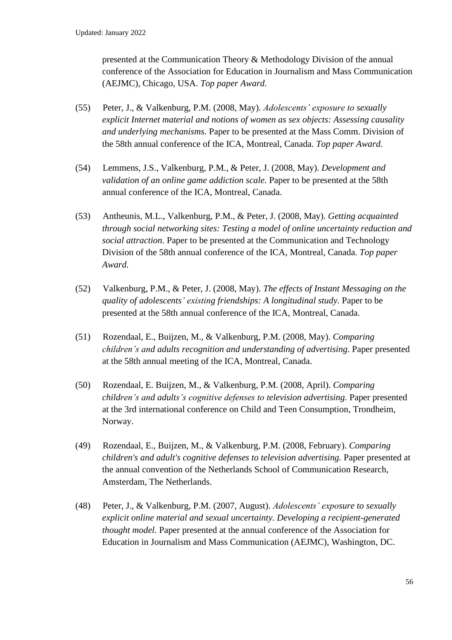presented at the Communication Theory & Methodology Division of the annual conference of the Association for Education in Journalism and Mass Communication (AEJMC), Chicago, USA. *Top paper Award.* 

- (55) Peter, J., & Valkenburg, P.M. (2008, May). *Adolescents' exposure to sexually explicit Internet material and notions of women as sex objects: Assessing causality and underlying mechanisms.* Paper to be presented at the Mass Comm. Division of the 58th annual conference of the ICA, Montreal, Canada. *Top paper Award.*
- (54) Lemmens, J.S., Valkenburg, P.M., & Peter, J. (2008, May). *Development and validation of an online game addiction scale.* Paper to be presented at the 58th annual conference of the ICA, Montreal, Canada.
- (53) Antheunis, M.L., Valkenburg, P.M., & Peter, J. (2008, May). *Getting acquainted through social networking sites: Testing a model of online uncertainty reduction and social attraction.* Paper to be presented at the Communication and Technology Division of the 58th annual conference of the ICA, Montreal, Canada. *Top paper Award.*
- (52) Valkenburg, P.M., & Peter, J. (2008, May). *The effects of Instant Messaging on the quality of adolescents' existing friendships: A longitudinal study.* Paper to be presented at the 58th annual conference of the ICA, Montreal, Canada.
- (51) Rozendaal, E., Buijzen, M., & Valkenburg, P.M. (2008, May). *Comparing children's and adults recognition and understanding of advertising*. Paper presented at the 58th annual meeting of the ICA, Montreal, Canada.
- (50) Rozendaal, E. Buijzen, M., & Valkenburg, P.M. (2008, April). *Comparing children's and adults's cognitive defenses to television advertising.* Paper presented at the 3rd international conference on Child and Teen Consumption, Trondheim, Norway.
- (49) Rozendaal, E., Buijzen, M., & Valkenburg, P.M. (2008, February). *Comparing children's and adult's cognitive defenses to television advertising.* Paper presented at the annual convention of the Netherlands School of Communication Research, Amsterdam, The Netherlands.
- (48) Peter, J., & Valkenburg, P.M. (2007, August). *Adolescents' exposure to sexually explicit online material and sexual uncertainty. Developing a recipient-generated thought model.* Paper presented at the annual conference of the Association for Education in Journalism and Mass Communication (AEJMC), Washington, DC.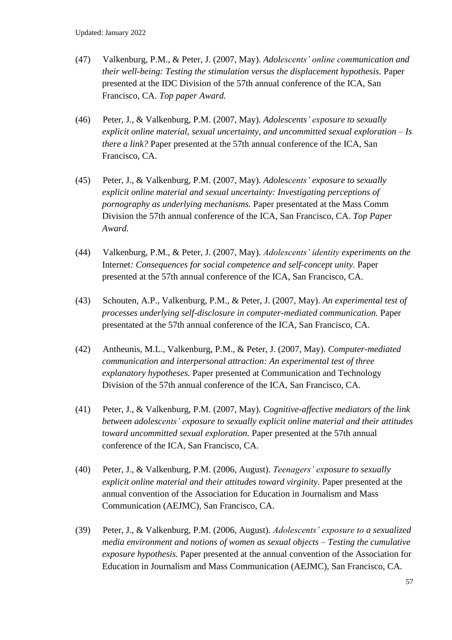- (47) Valkenburg, P.M., & Peter, J. (2007, May). *Adolescents' online communication and their well-being: Testing the stimulation versus the displacement hypothesis.* Paper presented at the IDC Division of the 57th annual conference of the ICA, San Francisco, CA. *Top paper Award.*
- (46) Peter, J., & Valkenburg, P.M. (2007, May). *Adolescents' exposure to sexually explicit online material, sexual uncertainty, and uncommitted sexual exploration – Is there a link?* Paper presented at the 57th annual conference of the ICA, San Francisco, CA.
- (45) Peter, J., & Valkenburg, P.M. (2007, May). *Adolescents' exposure to sexually explicit online material and sexual uncertainty: Investigating perceptions of pornography as underlying mechanisms.* Paper presentated at the Mass Comm Division the 57th annual conference of the ICA, San Francisco, CA. *Top Paper Award.*
- (44) Valkenburg, P.M., & Peter, J. (2007, May). *Adolescents' identity experiments on the*  Internet*: Consequences for social competence and self-concept unity.* Paper presented at the 57th annual conference of the ICA, San Francisco, CA.
- (43) Schouten, A.P., Valkenburg, P.M., & Peter, J. (2007, May). *An experimental test of processes underlying self-disclosure in computer-mediated communication.* Paper presentated at the 57th annual conference of the ICA, San Francisco, CA.
- (42) Antheunis, M.L., Valkenburg, P.M., & Peter, J. (2007, May). *Computer-mediated communication and interpersonal attraction: An experimental test of three explanatory hypotheses.* Paper presented at Communication and Technology Division of the 57th annual conference of the ICA, San Francisco, CA.
- (41) Peter, J., & Valkenburg, P.M. (2007, May). *Cognitive-affective mediators of the link between adolescents' exposure to sexually explicit online material and their attitudes toward uncommitted sexual exploration.* Paper presented at the 57th annual conference of the ICA, San Francisco, CA.
- (40) Peter, J., & Valkenburg, P.M. (2006, August). *Teenagers' exposure to sexually explicit online material and their attitudes toward virginity.* Paper presented at the annual convention of the Association for Education in Journalism and Mass Communication (AEJMC), San Francisco, CA.
- (39) Peter, J., & Valkenburg, P.M. (2006, August). *Adolescents' exposure to a sexualized media environment and notions of women as sexual objects – Testing the cumulative exposure hypothesis.* Paper presented at the annual convention of the Association for Education in Journalism and Mass Communication (AEJMC), San Francisco, CA.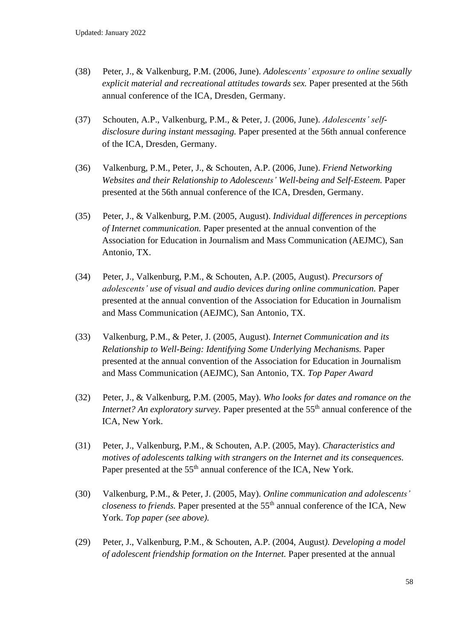- (38) Peter, J., & Valkenburg, P.M. (2006, June). *Adolescents' exposure to online sexually explicit material and recreational attitudes towards sex.* Paper presented at the 56th annual conference of the ICA, Dresden, Germany.
- (37) Schouten, A.P., Valkenburg, P.M., & Peter, J. (2006, June). *Adolescents' selfdisclosure during instant messaging.* Paper presented at the 56th annual conference of the ICA, Dresden, Germany.
- (36) Valkenburg, P.M., Peter, J., & Schouten, A.P. (2006, June). *Friend Networking Websites and their Relationship to Adolescents' Well-being and Self-Esteem.* Paper presented at the 56th annual conference of the ICA, Dresden, Germany.
- (35) Peter, J., & Valkenburg, P.M. (2005, August). *Individual differences in perceptions of Internet communication.* Paper presented at the annual convention of the Association for Education in Journalism and Mass Communication (AEJMC), San Antonio, TX.
- (34) Peter, J., Valkenburg, P.M., & Schouten, A.P. (2005, August). *Precursors of adolescents' use of visual and audio devices during online communication.* Paper presented at the annual convention of the Association for Education in Journalism and Mass Communication (AEJMC), San Antonio, TX.
- (33) Valkenburg, P.M., & Peter, J. (2005, August). *Internet Communication and its Relationship to Well-Being: Identifying Some Underlying Mechanisms.* Paper presented at the annual convention of the Association for Education in Journalism and Mass Communication (AEJMC), San Antonio, TX*. Top Paper Award*
- (32) Peter, J., & Valkenburg, P.M. (2005, May). *Who looks for dates and romance on the Internet? An exploratory survey.* Paper presented at the 55<sup>th</sup> annual conference of the ICA, New York.
- (31) Peter, J., Valkenburg, P.M., & Schouten, A.P. (2005, May). *Characteristics and motives of adolescents talking with strangers on the Internet and its consequences.* Paper presented at the 55<sup>th</sup> annual conference of the ICA, New York.
- (30) Valkenburg, P.M., & Peter, J. (2005, May). *Online communication and adolescents' closeness to friends.* Paper presented at the 55<sup>th</sup> annual conference of the ICA, New York. *Top paper (see above).*
- (29) Peter, J., Valkenburg, P.M., & Schouten, A.P. (2004, August*). Developing a model of adolescent friendship formation on the Internet.* Paper presented at the annual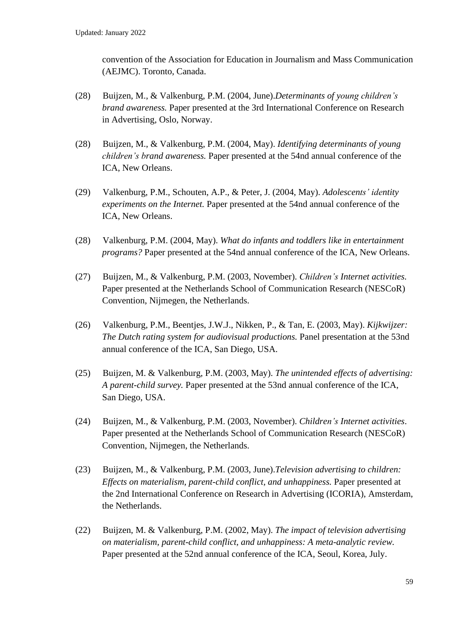convention of the Association for Education in Journalism and Mass Communication (AEJMC). Toronto, Canada.

- (28) Buijzen, M., & Valkenburg, P.M. (2004, June).*Determinants of young children's brand awareness.* Paper presented at the 3rd International Conference on Research in Advertising, Oslo, Norway.
- (28) Buijzen, M., & Valkenburg, P.M. (2004, May). *Identifying determinants of young children's brand awareness.* Paper presented at the 54nd annual conference of the ICA, New Orleans.
- (29) Valkenburg, P.M., Schouten, A.P., & Peter, J. (2004, May). *Adolescents' identity experiments on the Internet.* Paper presented at the 54nd annual conference of the ICA, New Orleans.
- (28) Valkenburg, P.M. (2004, May). *What do infants and toddlers like in entertainment programs?* Paper presented at the 54nd annual conference of the ICA, New Orleans.
- (27) Buijzen, M., & Valkenburg, P.M. (2003, November). *Children's Internet activities.* Paper presented at the Netherlands School of Communication Research (NESCoR) Convention, Nijmegen, the Netherlands.
- (26) Valkenburg, P.M., Beentjes, J.W.J., Nikken, P., & Tan, E. (2003, May). *Kijkwijzer: The Dutch rating system for audiovisual productions.* Panel presentation at the 53nd annual conference of the ICA, San Diego, USA.
- (25) Buijzen, M. & Valkenburg, P.M. (2003, May). *The unintended effects of advertising: A parent-child survey.* Paper presented at the 53nd annual conference of the ICA, San Diego, USA.
- (24) Buijzen, M., & Valkenburg, P.M. (2003, November). *Children's Internet activities*. Paper presented at the Netherlands School of Communication Research (NESCoR) Convention, Nijmegen, the Netherlands.
- (23) Buijzen, M., & Valkenburg, P.M. (2003, June).*Television advertising to children: Effects on materialism, parent-child conflict, and unhappiness.* Paper presented at the 2nd International Conference on Research in Advertising (ICORIA), Amsterdam, the Netherlands.
- (22) Buijzen, M. & Valkenburg, P.M. (2002, May). *The impact of television advertising on materialism, parent-child conflict, and unhappiness: A meta-analytic review.* Paper presented at the 52nd annual conference of the ICA, Seoul, Korea, July.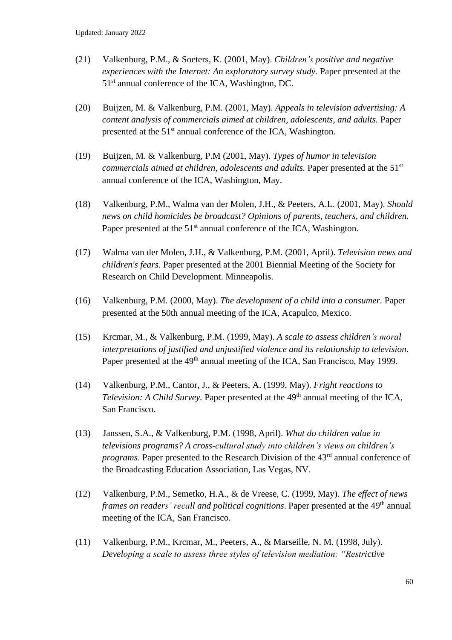- (21) Valkenburg, P.M., & Soeters, K. (2001, May). *Children's positive and negative experiences with the Internet: An exploratory survey study.* Paper presented at the 51<sup>st</sup> annual conference of the ICA, Washington, DC.
- (20) Buijzen, M. & Valkenburg, P.M. (2001, May). *Appeals in television advertising: A content analysis of commercials aimed at children, adolescents, and adults.* Paper presented at the 51st annual conference of the ICA, Washington.
- (19) Buijzen, M. & Valkenburg, P.M (2001, May). *Types of humor in television commercials aimed at children, adolescents and adults.* Paper presented at the 51<sup>st</sup> annual conference of the ICA, Washington, May.
- (18) Valkenburg, P.M., Walma van der Molen, J.H., & Peeters, A.L. (2001, May). *Should news on child homicides be broadcast? Opinions of parents, teachers, and children.*  Paper presented at the  $51<sup>st</sup>$  annual conference of the ICA, Washington.
- (17) Walma van der Molen, J.H., & Valkenburg, P.M. (2001, April). *Television news and children's fears.* Paper presented at the 2001 Biennial Meeting of the Society for Research on Child Development. Minneapolis.
- (16) Valkenburg, P.M. (2000, May). *The development of a child into a consumer.* Paper presented at the 50th annual meeting of the ICA, Acapulco, Mexico.
- (15) Krcmar, M., & Valkenburg, P.M. (1999, May). *A scale to assess children's moral interpretations of justified and unjustified violence and its relationship to television.*  Paper presented at the 49<sup>th</sup> annual meeting of the ICA, San Francisco, May 1999.
- (14) Valkenburg, P.M., Cantor, J., & Peeters, A. (1999, May). *Fright reactions to*  Television: A Child Survey. Paper presented at the 49<sup>th</sup> annual meeting of the ICA, San Francisco.
- (13) Janssen, S.A., & Valkenburg, P.M. (1998, April). *What do children value in televisions programs? A cross-cultural study into children's views on children's programs*. Paper presented to the Research Division of the 43<sup>rd</sup> annual conference of the Broadcasting Education Association, Las Vegas, NV.
- (12) Valkenburg, P.M., Semetko, H.A., & de Vreese, C. (1999, May). *The effect of news frames on readers' recall and political cognitions*. Paper presented at the 49<sup>th</sup> annual meeting of the ICA, San Francisco.
- (11) Valkenburg, P.M., Krcmar, M., Peeters, A., & Marseille, N. M. (1998, July). *Developing a scale to assess three styles of television mediation: "Restrictive*